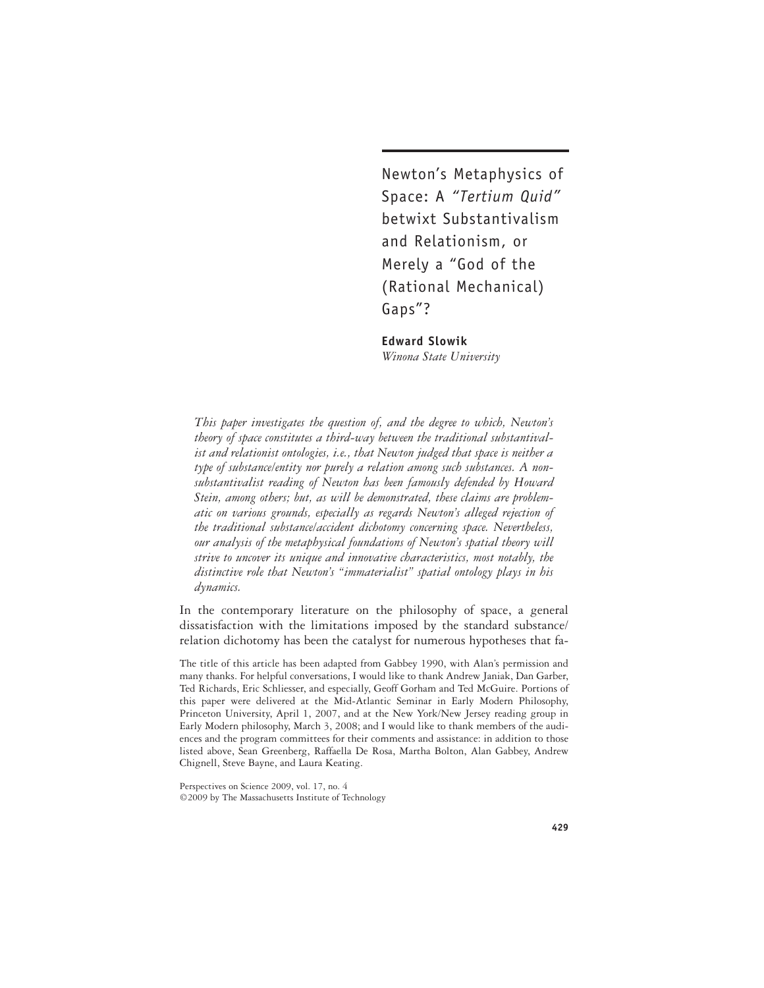Newton's Metaphysics of Space: A *"Tertium Quid"* betwixt Substantivalism and Relationism, or Merely a "God of the (Rational Mechanical) Gaps"?

**Edward Slowik** *Winona State University*

*This paper investigates the question of, and the degree to which, Newton's theory of space constitutes a third-way between the traditional substantivalist and relationist ontologies, i.e., that Newton judged that space is neither a type of substance/entity nor purely a relation among such substances. A nonsubstantivalist reading of Newton has been famously defended by Howard Stein, among others; but, as will be demonstrated, these claims are problematic on various grounds, especially as regards Newton's alleged rejection of the traditional substance/accident dichotomy concerning space. Nevertheless, our analysis of the metaphysical foundations of Newton's spatial theory will strive to uncover its unique and innovative characteristics, most notably, the distinctive role that Newton's "immaterialist" spatial ontology plays in his dynamics.*

In the contemporary literature on the philosophy of space, a general dissatisfaction with the limitations imposed by the standard substance/ relation dichotomy has been the catalyst for numerous hypotheses that fa-

The title of this article has been adapted from Gabbey 1990, with Alan's permission and many thanks. For helpful conversations, I would like to thank Andrew Janiak, Dan Garber, Ted Richards, Eric Schliesser, and especially, Geoff Gorham and Ted McGuire. Portions of this paper were delivered at the Mid-Atlantic Seminar in Early Modern Philosophy, Princeton University, April 1, 2007, and at the New York/New Jersey reading group in Early Modern philosophy, March 3, 2008; and I would like to thank members of the audiences and the program committees for their comments and assistance: in addition to those listed above, Sean Greenberg, Raffaella De Rosa, Martha Bolton, Alan Gabbey, Andrew Chignell, Steve Bayne, and Laura Keating.

Perspectives on Science 2009, vol. 17, no. 4 ©2009 by The Massachusetts Institute of Technology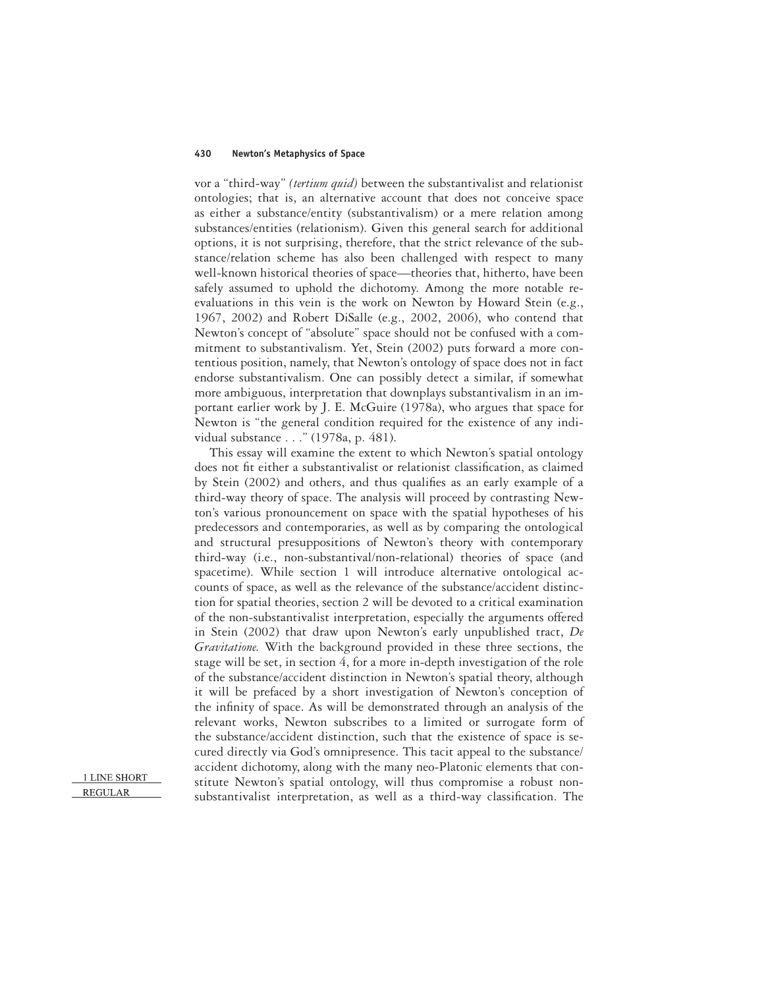vor a "third-way" *(tertium quid)* between the substantivalist and relationist ontologies; that is, an alternative account that does not conceive space as either a substance/entity (substantivalism) or a mere relation among substances/entities (relationism). Given this general search for additional options, it is not surprising, therefore, that the strict relevance of the substance/relation scheme has also been challenged with respect to many well-known historical theories of space—theories that, hitherto, have been safely assumed to uphold the dichotomy. Among the more notable reevaluations in this vein is the work on Newton by Howard Stein (e.g., 1967, 2002) and Robert DiSalle (e.g., 2002, 2006), who contend that Newton's concept of "absolute" space should not be confused with a commitment to substantivalism. Yet, Stein (2002) puts forward a more contentious position, namely, that Newton's ontology of space does not in fact endorse substantivalism. One can possibly detect a similar, if somewhat more ambiguous, interpretation that downplays substantivalism in an important earlier work by J. E. McGuire (1978a), who argues that space for Newton is "the general condition required for the existence of any individual substance . . ." (1978a, p. 481).

This essay will examine the extent to which Newton's spatial ontology does not fit either a substantivalist or relationist classification, as claimed by Stein (2002) and others, and thus qualifies as an early example of a third-way theory of space. The analysis will proceed by contrasting Newton's various pronouncement on space with the spatial hypotheses of his predecessors and contemporaries, as well as by comparing the ontological and structural presuppositions of Newton's theory with contemporary third-way (i.e., non-substantival/non-relational) theories of space (and spacetime). While section 1 will introduce alternative ontological accounts of space, as well as the relevance of the substance/accident distinction for spatial theories, section 2 will be devoted to a critical examination of the non-substantivalist interpretation, especially the arguments offered in Stein (2002) that draw upon Newton's early unpublished tract, *De Gravitatione.* With the background provided in these three sections, the stage will be set, in section 4, for a more in-depth investigation of the role of the substance/accident distinction in Newton's spatial theory, although it will be prefaced by a short investigation of Newton's conception of the infinity of space. As will be demonstrated through an analysis of the relevant works, Newton subscribes to a limited or surrogate form of the substance/accident distinction, such that the existence of space is secured directly via God's omnipresence. This tacit appeal to the substance/ accident dichotomy, along with the many neo-Platonic elements that constitute Newton's spatial ontology, will thus compromise a robust nonsubstantivalist interpretation, as well as a third-way classification. The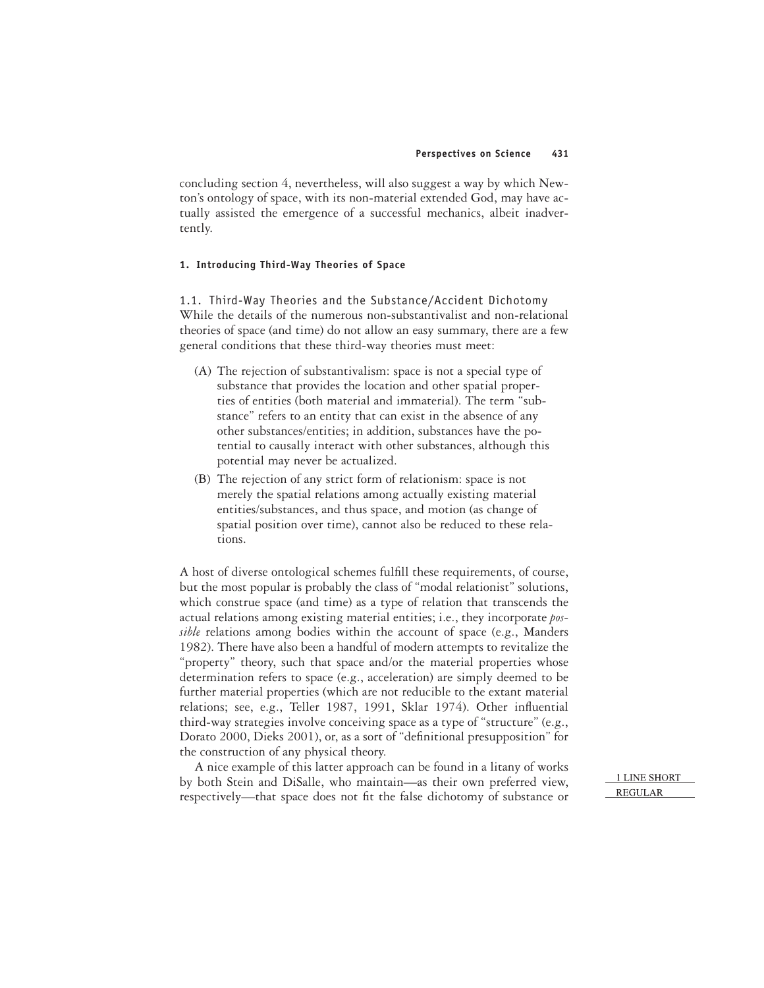concluding section 4, nevertheless, will also suggest a way by which Newton's ontology of space, with its non-material extended God, may have actually assisted the emergence of a successful mechanics, albeit inadvertently.

## **1. Introducing Third-Way Theories of Space**

1.1. Third-Way Theories and the Substance/Accident Dichotomy While the details of the numerous non-substantivalist and non-relational theories of space (and time) do not allow an easy summary, there are a few general conditions that these third-way theories must meet:

- (A) The rejection of substantivalism: space is not a special type of substance that provides the location and other spatial properties of entities (both material and immaterial). The term "substance" refers to an entity that can exist in the absence of any other substances/entities; in addition, substances have the potential to causally interact with other substances, although this potential may never be actualized.
- (B) The rejection of any strict form of relationism: space is not merely the spatial relations among actually existing material entities/substances, and thus space, and motion (as change of spatial position over time), cannot also be reduced to these relations.

A host of diverse ontological schemes fulfill these requirements, of course, but the most popular is probably the class of "modal relationist" solutions, which construe space (and time) as a type of relation that transcends the actual relations among existing material entities; i.e., they incorporate *possible* relations among bodies within the account of space (e.g., Manders 1982). There have also been a handful of modern attempts to revitalize the "property" theory, such that space and/or the material properties whose determination refers to space (e.g., acceleration) are simply deemed to be further material properties (which are not reducible to the extant material relations; see, e.g., Teller 1987, 1991, Sklar 1974). Other influential third-way strategies involve conceiving space as a type of "structure" (e.g., Dorato 2000, Dieks 2001), or, as a sort of "definitional presupposition" for the construction of any physical theory.

A nice example of this latter approach can be found in a litany of works by both Stein and DiSalle, who maintain—as their own preferred view, respectively—that space does not fit the false dichotomy of substance or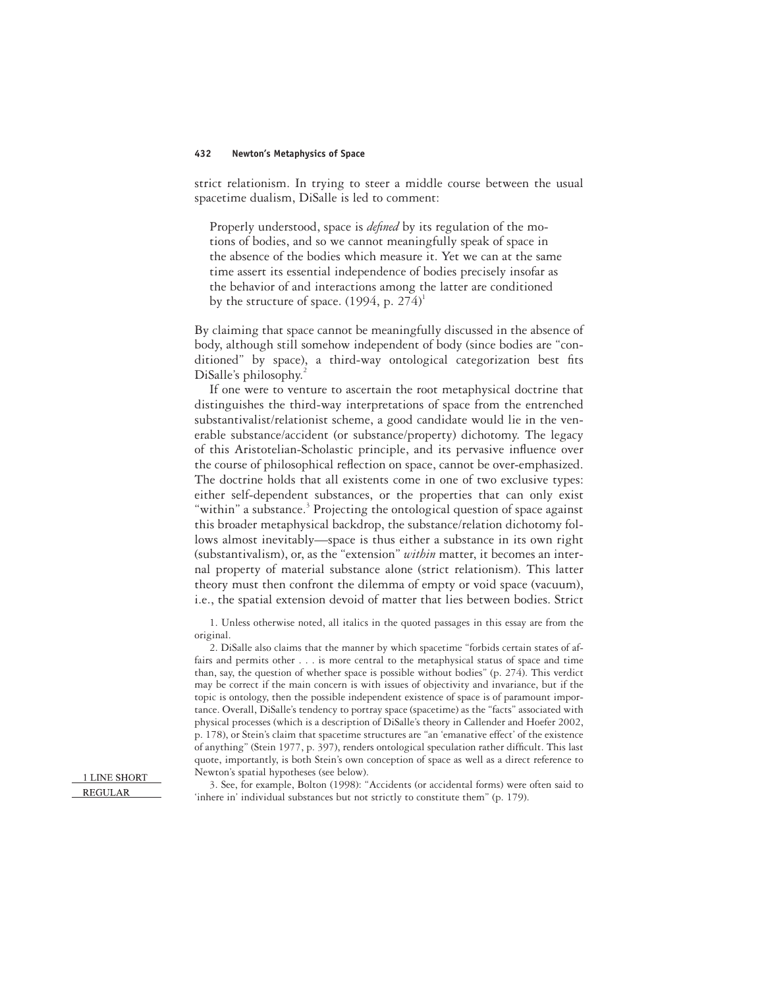strict relationism. In trying to steer a middle course between the usual spacetime dualism, DiSalle is led to comment:

Properly understood, space is *defined* by its regulation of the motions of bodies, and so we cannot meaningfully speak of space in the absence of the bodies which measure it. Yet we can at the same time assert its essential independence of bodies precisely insofar as the behavior of and interactions among the latter are conditioned by the structure of space.  $(1994, p. 274)^1$ 

By claiming that space cannot be meaningfully discussed in the absence of body, although still somehow independent of body (since bodies are "conditioned" by space), a third-way ontological categorization best fits DiSalle's philosophy.

If one were to venture to ascertain the root metaphysical doctrine that distinguishes the third-way interpretations of space from the entrenched substantivalist/relationist scheme, a good candidate would lie in the venerable substance/accident (or substance/property) dichotomy. The legacy of this Aristotelian-Scholastic principle, and its pervasive influence over the course of philosophical reflection on space, cannot be over-emphasized. The doctrine holds that all existents come in one of two exclusive types: either self-dependent substances, or the properties that can only exist "within" a substance.<sup>3</sup> Projecting the ontological question of space against this broader metaphysical backdrop, the substance/relation dichotomy follows almost inevitably—space is thus either a substance in its own right (substantivalism), or, as the "extension" *within* matter, it becomes an internal property of material substance alone (strict relationism). This latter theory must then confront the dilemma of empty or void space (vacuum), i.e., the spatial extension devoid of matter that lies between bodies. Strict

1. Unless otherwise noted, all italics in the quoted passages in this essay are from the original.

2. DiSalle also claims that the manner by which spacetime "forbids certain states of affairs and permits other . . . is more central to the metaphysical status of space and time than, say, the question of whether space is possible without bodies" (p. 274). This verdict may be correct if the main concern is with issues of objectivity and invariance, but if the topic is ontology, then the possible independent existence of space is of paramount importance. Overall, DiSalle's tendency to portray space (spacetime) as the "facts" associated with physical processes (which is a description of DiSalle's theory in Callender and Hoefer 2002, p. 178), or Stein's claim that spacetime structures are "an 'emanative effect' of the existence of anything" (Stein 1977, p. 397), renders ontological speculation rather difficult. This last quote, importantly, is both Stein's own conception of space as well as a direct reference to Newton's spatial hypotheses (see below).

3. See, for example, Bolton (1998): "Accidents (or accidental forms) were often said to 'inhere in' individual substances but not strictly to constitute them" (p. 179).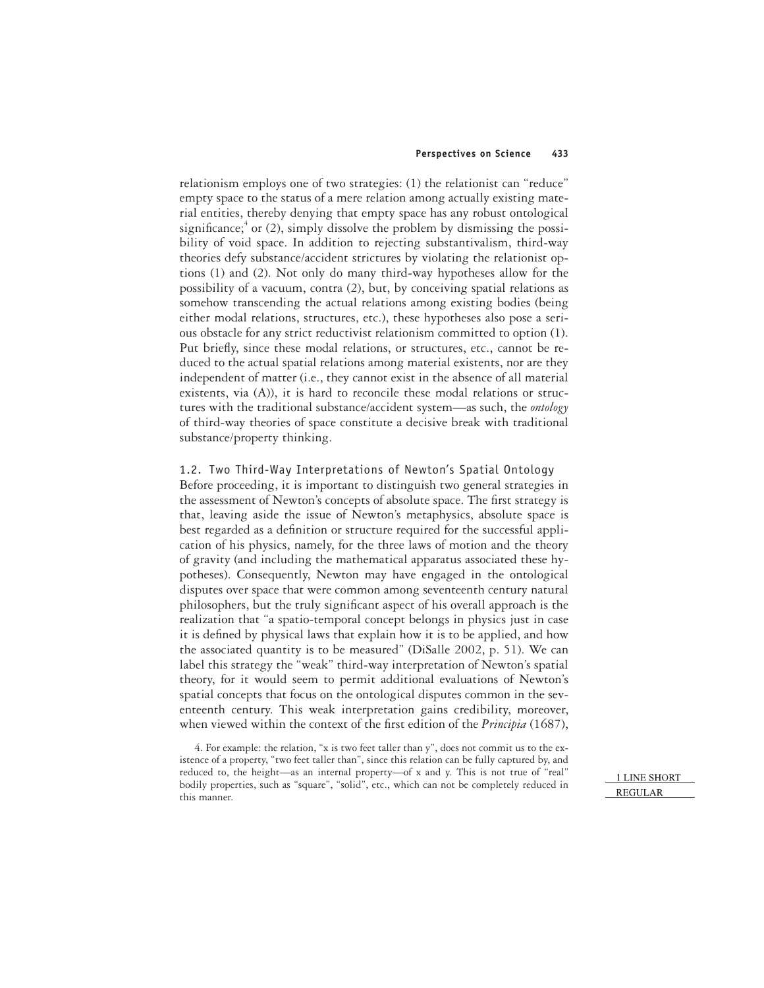relationism employs one of two strategies: (1) the relationist can "reduce" empty space to the status of a mere relation among actually existing material entities, thereby denying that empty space has any robust ontological significance; $^{4}$  or (2), simply dissolve the problem by dismissing the possibility of void space. In addition to rejecting substantivalism, third-way theories defy substance/accident strictures by violating the relationist options (1) and (2). Not only do many third-way hypotheses allow for the possibility of a vacuum, contra (2), but, by conceiving spatial relations as somehow transcending the actual relations among existing bodies (being either modal relations, structures, etc.), these hypotheses also pose a serious obstacle for any strict reductivist relationism committed to option (1). Put briefly, since these modal relations, or structures, etc., cannot be reduced to the actual spatial relations among material existents, nor are they independent of matter (i.e., they cannot exist in the absence of all material existents, via (A)), it is hard to reconcile these modal relations or structures with the traditional substance/accident system—as such, the *ontology* of third-way theories of space constitute a decisive break with traditional substance/property thinking.

# 1.2. Two Third-Way Interpretations of Newton's Spatial Ontology Before proceeding, it is important to distinguish two general strategies in the assessment of Newton's concepts of absolute space. The first strategy is that, leaving aside the issue of Newton's metaphysics, absolute space is best regarded as a definition or structure required for the successful application of his physics, namely, for the three laws of motion and the theory of gravity (and including the mathematical apparatus associated these hypotheses). Consequently, Newton may have engaged in the ontological disputes over space that were common among seventeenth century natural philosophers, but the truly significant aspect of his overall approach is the realization that "a spatio-temporal concept belongs in physics just in case it is defined by physical laws that explain how it is to be applied, and how the associated quantity is to be measured" (DiSalle 2002, p. 51). We can label this strategy the "weak" third-way interpretation of Newton's spatial theory, for it would seem to permit additional evaluations of Newton's spatial concepts that focus on the ontological disputes common in the seventeenth century. This weak interpretation gains credibility, moreover, when viewed within the context of the first edition of the *Principia* (1687),

4. For example: the relation, "x is two feet taller than y", does not commit us to the existence of a property, "two feet taller than", since this relation can be fully captured by, and reduced to, the height—as an internal property—of x and y. This is not true of "real" bodily properties, such as "square", "solid", etc., which can not be completely reduced in this manner.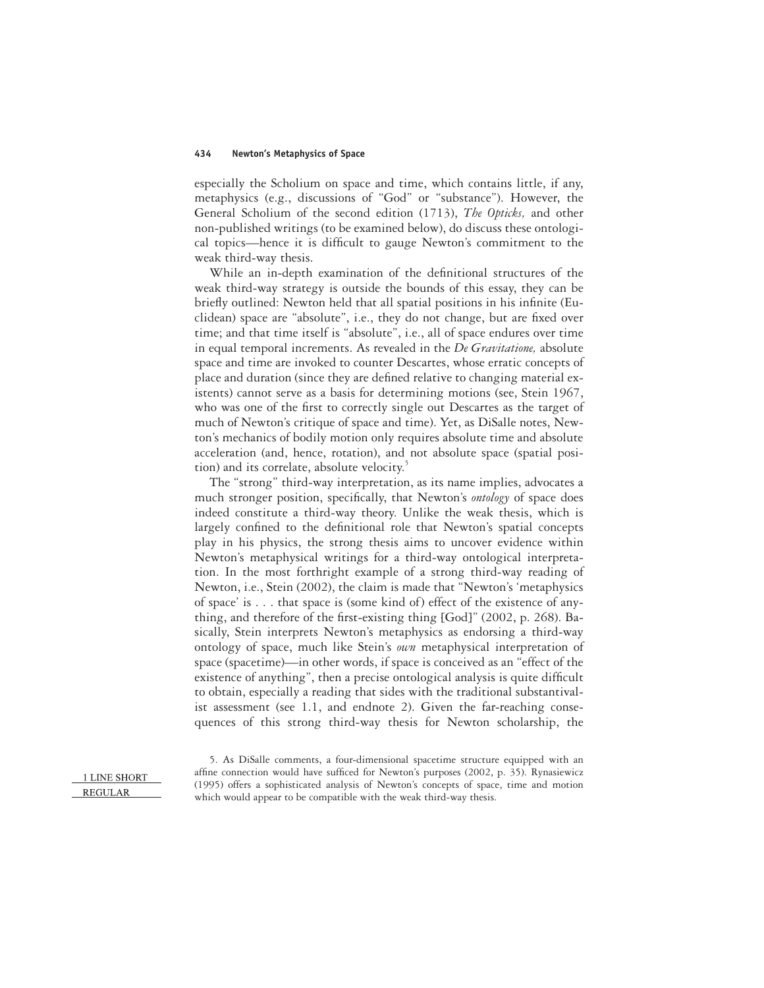especially the Scholium on space and time, which contains little, if any, metaphysics (e.g., discussions of "God" or "substance"). However, the General Scholium of the second edition (1713), *The Opticks,* and other non-published writings (to be examined below), do discuss these ontological topics—hence it is difficult to gauge Newton's commitment to the weak third-way thesis.

While an in-depth examination of the definitional structures of the weak third-way strategy is outside the bounds of this essay, they can be briefly outlined: Newton held that all spatial positions in his infinite (Euclidean) space are "absolute", i.e., they do not change, but are fixed over time; and that time itself is "absolute", i.e., all of space endures over time in equal temporal increments. As revealed in the *De Gravitatione,* absolute space and time are invoked to counter Descartes, whose erratic concepts of place and duration (since they are defined relative to changing material existents) cannot serve as a basis for determining motions (see, Stein 1967, who was one of the first to correctly single out Descartes as the target of much of Newton's critique of space and time). Yet, as DiSalle notes, Newton's mechanics of bodily motion only requires absolute time and absolute acceleration (and, hence, rotation), and not absolute space (spatial position) and its correlate, absolute velocity.<sup>5</sup>

The "strong" third-way interpretation, as its name implies, advocates a much stronger position, specifically, that Newton's *ontology* of space does indeed constitute a third-way theory. Unlike the weak thesis, which is largely confined to the definitional role that Newton's spatial concepts play in his physics, the strong thesis aims to uncover evidence within Newton's metaphysical writings for a third-way ontological interpretation. In the most forthright example of a strong third-way reading of Newton, i.e., Stein (2002), the claim is made that "Newton's 'metaphysics of space' is... that space is (some kind of) effect of the existence of anything, and therefore of the first-existing thing  $[God]$ " (2002, p. 268). Basically, Stein interprets Newton's metaphysics as endorsing a third-way ontology of space, much like Stein's *own* metaphysical interpretation of space (spacetime)—in other words, if space is conceived as an "effect of the existence of anything", then a precise ontological analysis is quite difficult to obtain, especially a reading that sides with the traditional substantivalist assessment (see 1.1, and endnote 2). Given the far-reaching consequences of this strong third-way thesis for Newton scholarship, the

5. As DiSalle comments, a four-dimensional spacetime structure equipped with an affine connection would have sufficed for Newton's purposes (2002, p. 35). Rynasiewicz (1995) offers a sophisticated analysis of Newton's concepts of space, time and motion which would appear to be compatible with the weak third-way thesis.

<sup>1</sup> LINE SHORT **REGULAR**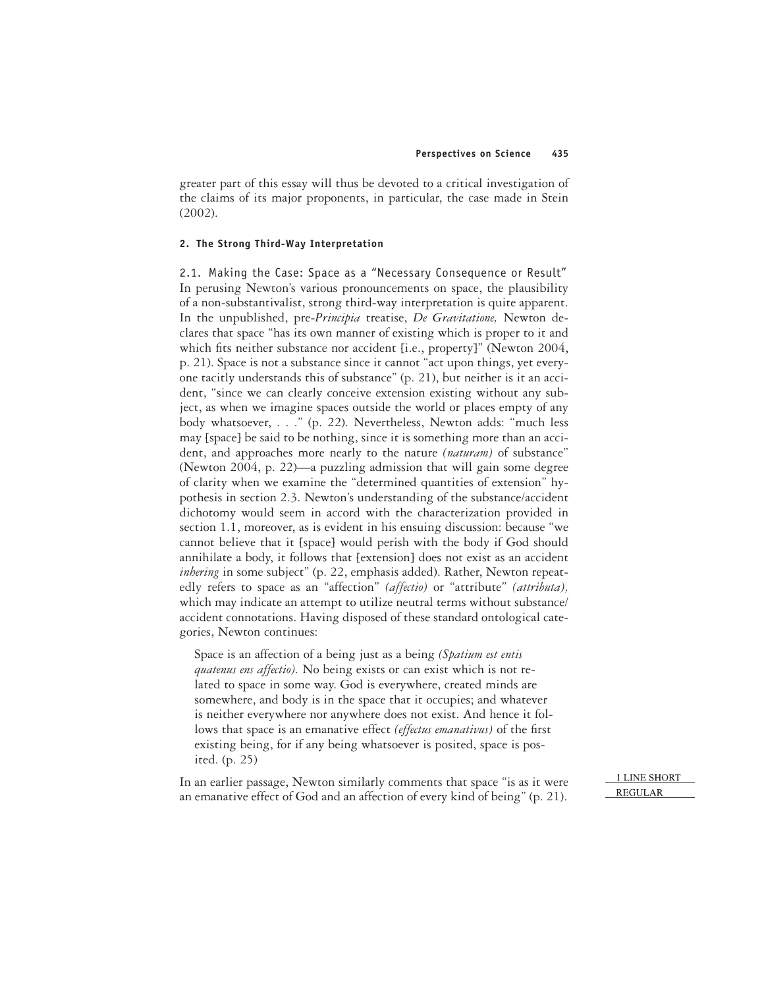greater part of this essay will thus be devoted to a critical investigation of the claims of its major proponents, in particular, the case made in Stein (2002).

### **2. The Strong Third-Way Interpretation**

2.1. Making the Case: Space as a "Necessary Consequence or Result" In perusing Newton's various pronouncements on space, the plausibility of a non-substantivalist, strong third-way interpretation is quite apparent. In the unpublished, pre-*Principia* treatise, *De Gravitatione,* Newton declares that space "has its own manner of existing which is proper to it and which fits neither substance nor accident [i.e., property]" (Newton 2004, p. 21). Space is not a substance since it cannot "act upon things, yet everyone tacitly understands this of substance" (p. 21), but neither is it an accident, "since we can clearly conceive extension existing without any subject, as when we imagine spaces outside the world or places empty of any body whatsoever, . . ." (p. 22). Nevertheless, Newton adds: "much less may [space] be said to be nothing, since it is something more than an accident, and approaches more nearly to the nature *(naturam)* of substance" (Newton 2004, p. 22)—a puzzling admission that will gain some degree of clarity when we examine the "determined quantities of extension" hypothesis in section 2.3. Newton's understanding of the substance/accident dichotomy would seem in accord with the characterization provided in section 1.1, moreover, as is evident in his ensuing discussion: because "we cannot believe that it [space] would perish with the body if God should annihilate a body, it follows that [extension] does not exist as an accident *inhering* in some subject" (p. 22, emphasis added). Rather, Newton repeatedly refers to space as an "affection" *(affectio)* or "attribute" *(attributa),* which may indicate an attempt to utilize neutral terms without substance/ accident connotations. Having disposed of these standard ontological categories, Newton continues:

Space is an affection of a being just as a being *(Spatium est entis quatenus ens affectio).* No being exists or can exist which is not related to space in some way. God is everywhere, created minds are somewhere, and body is in the space that it occupies; and whatever is neither everywhere nor anywhere does not exist. And hence it follows that space is an emanative effect *(effectus emanativus)* of the first existing being, for if any being whatsoever is posited, space is posited. (p. 25)

In an earlier passage, Newton similarly comments that space "is as it were an emanative effect of God and an affection of every kind of being" (p. 21).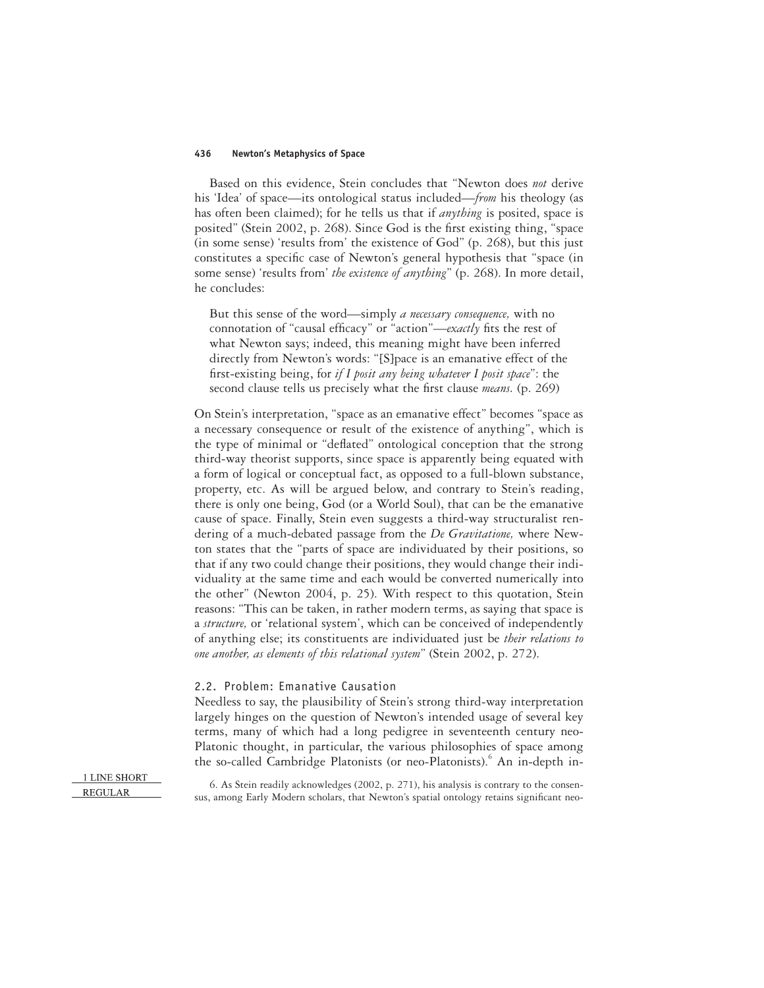Based on this evidence, Stein concludes that "Newton does *not* derive his 'Idea' of space—its ontological status included—*from* his theology (as has often been claimed); for he tells us that if *anything* is posited, space is posited" (Stein 2002, p. 268). Since God is the first existing thing, "space (in some sense) 'results from' the existence of God" (p. 268), but this just constitutes a specific case of Newton's general hypothesis that "space (in some sense) 'results from' *the existence of anything*" (p. 268). In more detail, he concludes:

But this sense of the word—simply *a necessary consequence,* with no connotation of "causal efficacy" or "action"—*exactly* fits the rest of what Newton says; indeed, this meaning might have been inferred directly from Newton's words: "[S]pace is an emanative effect of the first-existing being, for *if I posit any being whatever I posit space*": the second clause tells us precisely what the first clause *means.* (p. 269)

On Stein's interpretation, "space as an emanative effect" becomes "space as a necessary consequence or result of the existence of anything", which is the type of minimal or "deflated" ontological conception that the strong third-way theorist supports, since space is apparently being equated with a form of logical or conceptual fact, as opposed to a full-blown substance, property, etc. As will be argued below, and contrary to Stein's reading, there is only one being, God (or a World Soul), that can be the emanative cause of space. Finally, Stein even suggests a third-way structuralist rendering of a much-debated passage from the *De Gravitatione,* where Newton states that the "parts of space are individuated by their positions, so that if any two could change their positions, they would change their individuality at the same time and each would be converted numerically into the other" (Newton 2004, p. 25). With respect to this quotation, Stein reasons: "This can be taken, in rather modern terms, as saying that space is a *structure,* or 'relational system', which can be conceived of independently of anything else; its constituents are individuated just be *their relations to one another, as elements of this relational system*" (Stein 2002, p. 272).

### 2.2. Problem: Emanative Causation

Needless to say, the plausibility of Stein's strong third-way interpretation largely hinges on the question of Newton's intended usage of several key terms, many of which had a long pedigree in seventeenth century neo-Platonic thought, in particular, the various philosophies of space among the so-called Cambridge Platonists (or neo-Platonists).<sup>6</sup> An in-depth in-

1 LINE SHORT **REGULAR** 

6. As Stein readily acknowledges (2002, p. 271), his analysis is contrary to the consensus, among Early Modern scholars, that Newton's spatial ontology retains significant neo-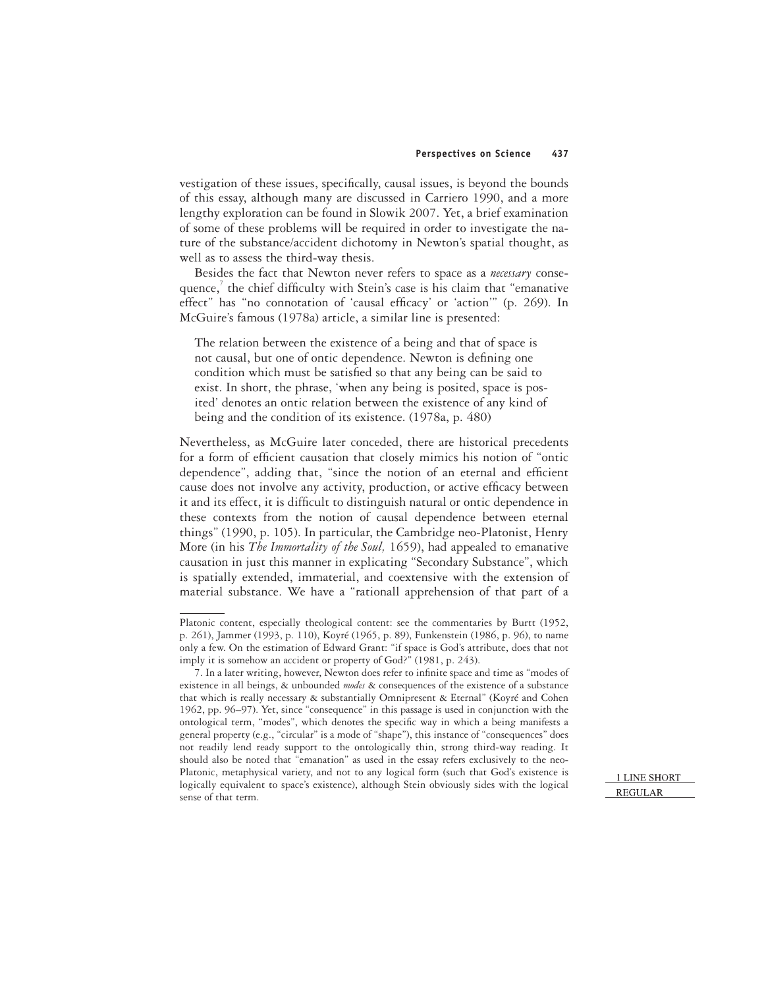vestigation of these issues, specifically, causal issues, is beyond the bounds of this essay, although many are discussed in Carriero 1990, and a more lengthy exploration can be found in Slowik 2007. Yet, a brief examination of some of these problems will be required in order to investigate the nature of the substance/accident dichotomy in Newton's spatial thought, as well as to assess the third-way thesis.

Besides the fact that Newton never refers to space as a *necessary* consequence, $^7$  the chief difficulty with Stein's case is his claim that "emanative effect" has "no connotation of 'causal efficacy' or 'action'" (p. 269). In McGuire's famous (1978a) article, a similar line is presented:

The relation between the existence of a being and that of space is not causal, but one of ontic dependence. Newton is defining one condition which must be satisfied so that any being can be said to exist. In short, the phrase, 'when any being is posited, space is posited' denotes an ontic relation between the existence of any kind of being and the condition of its existence. (1978a, p. 480)

Nevertheless, as McGuire later conceded, there are historical precedents for a form of efficient causation that closely mimics his notion of "ontic dependence", adding that, "since the notion of an eternal and efficient cause does not involve any activity, production, or active efficacy between it and its effect, it is difficult to distinguish natural or ontic dependence in these contexts from the notion of causal dependence between eternal things" (1990, p. 105). In particular, the Cambridge neo-Platonist, Henry More (in his *The Immortality of the Soul,* 1659), had appealed to emanative causation in just this manner in explicating "Secondary Substance", which is spatially extended, immaterial, and coextensive with the extension of material substance. We have a "rationall apprehension of that part of a

Platonic content, especially theological content: see the commentaries by Burtt (1952, p. 261), Jammer (1993, p. 110), Koyré (1965, p. 89), Funkenstein (1986, p. 96), to name only a few. On the estimation of Edward Grant: "if space is God's attribute, does that not imply it is somehow an accident or property of God?" (1981, p. 243).

<sup>7.</sup> In a later writing, however, Newton does refer to infinite space and time as "modes of existence in all beings, & unbounded *modes* & consequences of the existence of a substance that which is really necessary & substantially Omnipresent & Eternal" (Koyré and Cohen 1962, pp. 96–97). Yet, since "consequence" in this passage is used in conjunction with the ontological term, "modes", which denotes the specific way in which a being manifests a general property (e.g., "circular" is a mode of "shape"), this instance of "consequences" does not readily lend ready support to the ontologically thin, strong third-way reading. It should also be noted that "emanation" as used in the essay refers exclusively to the neo-Platonic, metaphysical variety, and not to any logical form (such that God's existence is logically equivalent to space's existence), although Stein obviously sides with the logical sense of that term.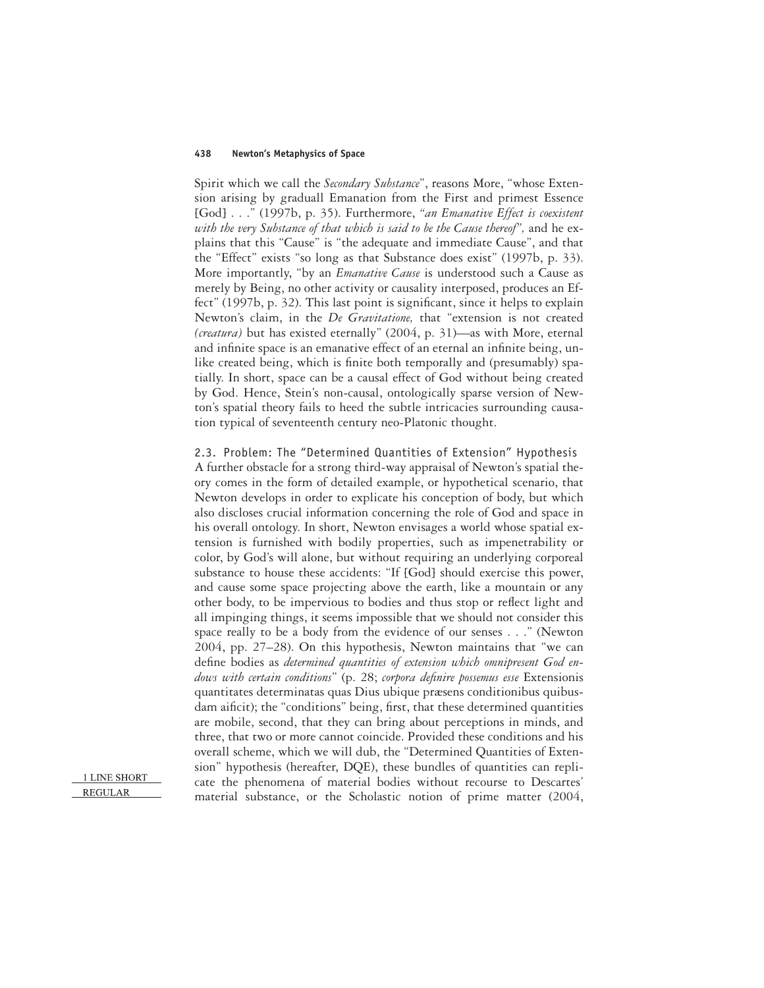Spirit which we call the *Secondary Substance*", reasons More, "whose Extension arising by graduall Emanation from the First and primest Essence [God] . . ." (1997b, p. 35). Furthermore, *"an Emanative Effect is coexistent with the very Substance of that which is said to be the Cause thereof",* and he explains that this "Cause" is "the adequate and immediate Cause", and that the "Effect" exists "so long as that Substance does exist" (1997b, p. 33). More importantly, "by an *Emanative Cause* is understood such a Cause as merely by Being, no other activity or causality interposed, produces an Effect" (1997b, p. 32). This last point is significant, since it helps to explain Newton's claim, in the *De Gravitatione,* that "extension is not created *(creatura)* but has existed eternally" (2004, p. 31)—as with More, eternal and infinite space is an emanative effect of an eternal an infinite being, unlike created being, which is finite both temporally and (presumably) spatially. In short, space can be a causal effect of God without being created by God. Hence, Stein's non-causal, ontologically sparse version of Newton's spatial theory fails to heed the subtle intricacies surrounding causation typical of seventeenth century neo-Platonic thought.

2.3. Problem: The "Determined Quantities of Extension" Hypothesis A further obstacle for a strong third-way appraisal of Newton's spatial theory comes in the form of detailed example, or hypothetical scenario, that Newton develops in order to explicate his conception of body, but which also discloses crucial information concerning the role of God and space in his overall ontology. In short, Newton envisages a world whose spatial extension is furnished with bodily properties, such as impenetrability or color, by God's will alone, but without requiring an underlying corporeal substance to house these accidents: "If [God] should exercise this power, and cause some space projecting above the earth, like a mountain or any other body, to be impervious to bodies and thus stop or reflect light and all impinging things, it seems impossible that we should not consider this space really to be a body from the evidence of our senses . . ." (Newton 2004, pp. 27–28). On this hypothesis, Newton maintains that "we can define bodies as *determined quantities of extension which omnipresent God endows with certain conditions*" (p. 28; *corpora definire possemus esse* Extensionis quantitates determinatas quas Dius ubique præsens conditionibus quibusdam aificit); the "conditions" being, first, that these determined quantities are mobile, second, that they can bring about perceptions in minds, and three, that two or more cannot coincide. Provided these conditions and his overall scheme, which we will dub, the "Determined Quantities of Extension" hypothesis (hereafter, DQE), these bundles of quantities can replicate the phenomena of material bodies without recourse to Descartes' material substance, or the Scholastic notion of prime matter (2004,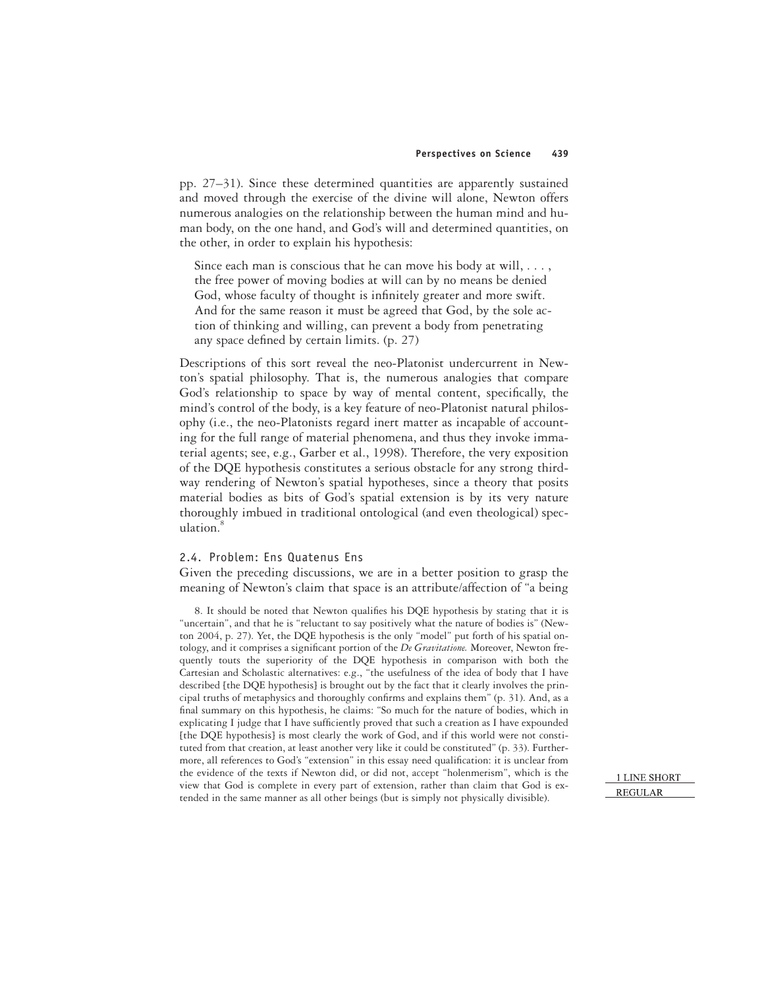pp. 27–31). Since these determined quantities are apparently sustained and moved through the exercise of the divine will alone, Newton offers numerous analogies on the relationship between the human mind and human body, on the one hand, and God's will and determined quantities, on the other, in order to explain his hypothesis:

Since each man is conscious that he can move his body at will, ..., the free power of moving bodies at will can by no means be denied God, whose faculty of thought is infinitely greater and more swift. And for the same reason it must be agreed that God, by the sole action of thinking and willing, can prevent a body from penetrating any space defined by certain limits.  $(p. 27)$ 

Descriptions of this sort reveal the neo-Platonist undercurrent in Newton's spatial philosophy. That is, the numerous analogies that compare God's relationship to space by way of mental content, specifically, the mind's control of the body, is a key feature of neo-Platonist natural philosophy (i.e., the neo-Platonists regard inert matter as incapable of accounting for the full range of material phenomena, and thus they invoke immaterial agents; see, e.g., Garber et al., 1998). Therefore, the very exposition of the DQE hypothesis constitutes a serious obstacle for any strong thirdway rendering of Newton's spatial hypotheses, since a theory that posits material bodies as bits of God's spatial extension is by its very nature thoroughly imbued in traditional ontological (and even theological) speculation.<sup>8</sup>

### 2.4. Problem: Ens Quatenus Ens

Given the preceding discussions, we are in a better position to grasp the meaning of Newton's claim that space is an attribute/affection of "a being

8. It should be noted that Newton qualifies his DQE hypothesis by stating that it is "uncertain", and that he is "reluctant to say positively what the nature of bodies is" (Newton 2004, p. 27). Yet, the DQE hypothesis is the only "model" put forth of his spatial ontology, and it comprises a significant portion of the *De Gravitatione*. Moreover, Newton frequently touts the superiority of the DQE hypothesis in comparison with both the Cartesian and Scholastic alternatives: e.g., "the usefulness of the idea of body that I have described [the DQE hypothesis] is brought out by the fact that it clearly involves the principal truths of metaphysics and thoroughly confirms and explains them" (p. 31). And, as a final summary on this hypothesis, he claims: "So much for the nature of bodies, which in explicating I judge that I have sufficiently proved that such a creation as I have expounded [the DQE hypothesis] is most clearly the work of God, and if this world were not constituted from that creation, at least another very like it could be constituted" (p. 33). Furthermore, all references to God's "extension" in this essay need qualification: it is unclear from the evidence of the texts if Newton did, or did not, accept "holenmerism", which is the view that God is complete in every part of extension, rather than claim that God is extended in the same manner as all other beings (but is simply not physically divisible).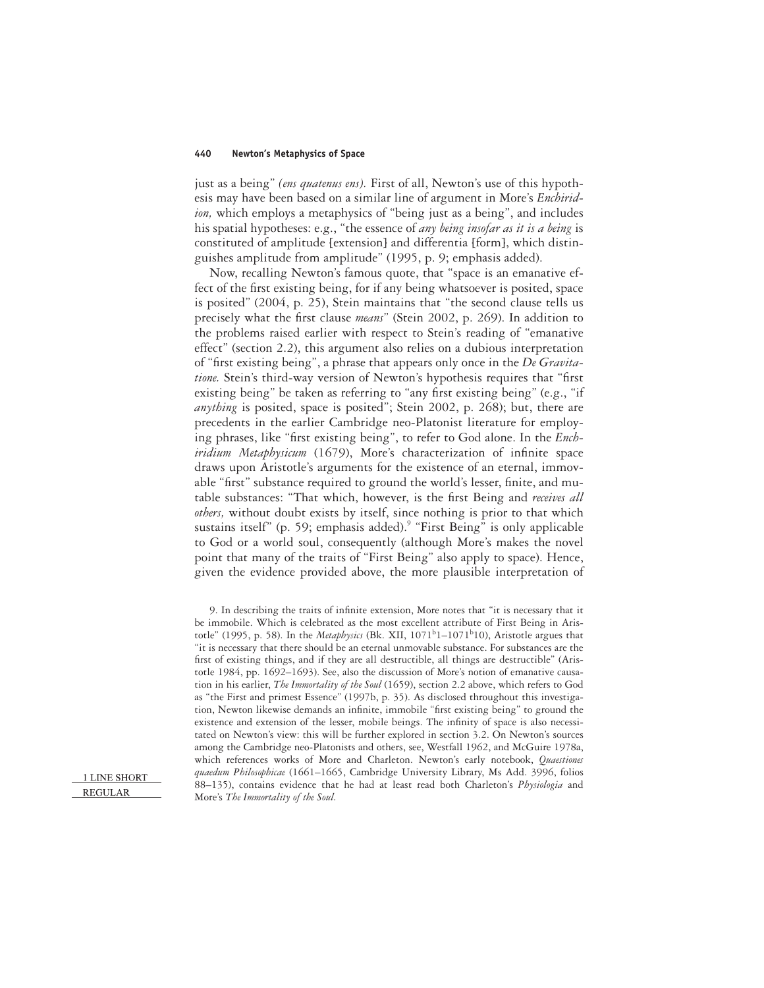just as a being" *(ens quatenus ens)*. First of all, Newton's use of this hypothesis may have been based on a similar line of argument in More's *Enchiridion,* which employs a metaphysics of "being just as a being", and includes his spatial hypotheses: e.g., "the essence of *any being insofar as it is a being* is constituted of amplitude [extension] and differentia [form], which distinguishes amplitude from amplitude" (1995, p. 9; emphasis added).

Now, recalling Newton's famous quote, that "space is an emanative effect of the first existing being, for if any being whatsoever is posited, space is posited" (2004, p. 25), Stein maintains that "the second clause tells us precisely what the first clause *means*" (Stein 2002, p. 269). In addition to the problems raised earlier with respect to Stein's reading of "emanative effect" (section 2.2), this argument also relies on a dubious interpretation of "first existing being", a phrase that appears only once in the *De Gravitatione.* Stein's third-way version of Newton's hypothesis requires that "first existing being" be taken as referring to "any first existing being" (e.g., "if *anything* is posited, space is posited"; Stein 2002, p. 268); but, there are precedents in the earlier Cambridge neo-Platonist literature for employing phrases, like "first existing being", to refer to God alone. In the *Enchiridium Metaphysicum* (1679), More's characterization of infinite space draws upon Aristotle's arguments for the existence of an eternal, immovable "first" substance required to ground the world's lesser, finite, and mutable substances: "That which, however, is the first Being and *receives all others,* without doubt exists by itself, since nothing is prior to that which sustains itself" (p. 59; emphasis added).<sup>9</sup> "First Being" is only applicable to God or a world soul, consequently (although More's makes the novel point that many of the traits of "First Being" also apply to space). Hence, given the evidence provided above, the more plausible interpretation of

<sup>9.</sup> In describing the traits of infinite extension, More notes that "it is necessary that it be immobile. Which is celebrated as the most excellent attribute of First Being in Aristotle" (1995, p. 58). In the *Metaphysics* (Bk. XII,  $1071<sup>b</sup>1-1071<sup>b</sup>10$ ), Aristotle argues that "it is necessary that there should be an eternal unmovable substance. For substances are the first of existing things, and if they are all destructible, all things are destructible" (Aristotle 1984, pp. 1692–1693). See, also the discussion of More's notion of emanative causation in his earlier, *The Immortality of the Soul* (1659), section 2.2 above, which refers to God as "the First and primest Essence" (1997b, p. 35). As disclosed throughout this investigation, Newton likewise demands an infinite, immobile "first existing being" to ground the existence and extension of the lesser, mobile beings. The infinity of space is also necessitated on Newton's view: this will be further explored in section 3.2. On Newton's sources among the Cambridge neo-Platonists and others, see, Westfall 1962, and McGuire 1978a, which references works of More and Charleton. Newton's early notebook, *Quaestiones quaedum Philosophicae* (1661–1665, Cambridge University Library, Ms Add. 3996, folios 88–135), contains evidence that he had at least read both Charleton's *Physiologia* and More's *The Immortality of the Soul.*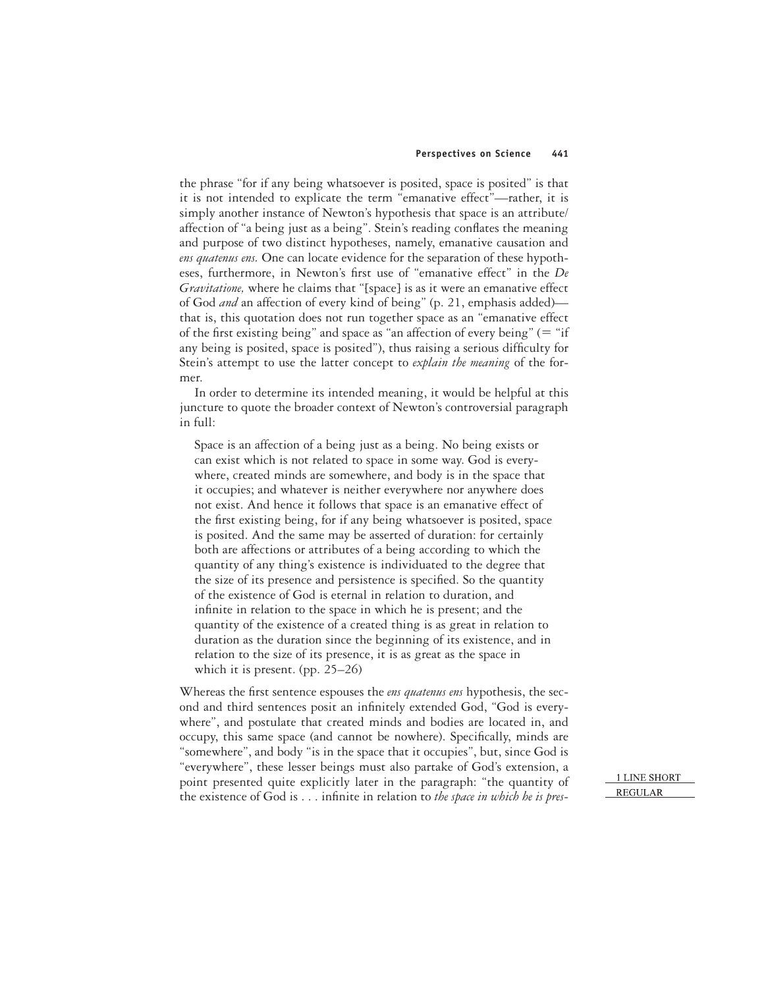the phrase "for if any being whatsoever is posited, space is posited" is that it is not intended to explicate the term "emanative effect"—rather, it is simply another instance of Newton's hypothesis that space is an attribute/ affection of "a being just as a being". Stein's reading conflates the meaning and purpose of two distinct hypotheses, namely, emanative causation and *ens quatenus ens.* One can locate evidence for the separation of these hypotheses, furthermore, in Newton's first use of "emanative effect" in the *De Gravitatione,* where he claims that "[space] is as it were an emanative effect of God *and* an affection of every kind of being" (p. 21, emphasis added) that is, this quotation does not run together space as an "emanative effect of the first existing being" and space as "an affection of every being" (= "if any being is posited, space is posited"), thus raising a serious difficulty for Stein's attempt to use the latter concept to *explain the meaning* of the former.

In order to determine its intended meaning, it would be helpful at this juncture to quote the broader context of Newton's controversial paragraph in full:

Space is an affection of a being just as a being. No being exists or can exist which is not related to space in some way. God is everywhere, created minds are somewhere, and body is in the space that it occupies; and whatever is neither everywhere nor anywhere does not exist. And hence it follows that space is an emanative effect of the first existing being, for if any being whatsoever is posited, space is posited. And the same may be asserted of duration: for certainly both are affections or attributes of a being according to which the quantity of any thing's existence is individuated to the degree that the size of its presence and persistence is specified. So the quantity of the existence of God is eternal in relation to duration, and infinite in relation to the space in which he is present; and the quantity of the existence of a created thing is as great in relation to duration as the duration since the beginning of its existence, and in relation to the size of its presence, it is as great as the space in which it is present. (pp. 25–26)

Whereas the first sentence espouses the *ens quatenus ens* hypothesis, the second and third sentences posit an infinitely extended God, "God is everywhere", and postulate that created minds and bodies are located in, and occupy, this same space (and cannot be nowhere). Specifically, minds are "somewhere", and body "is in the space that it occupies", but, since God is "everywhere", these lesser beings must also partake of God's extension, a point presented quite explicitly later in the paragraph: "the quantity of the existence of God is . . . infinite in relation to *the space in which he is pres-*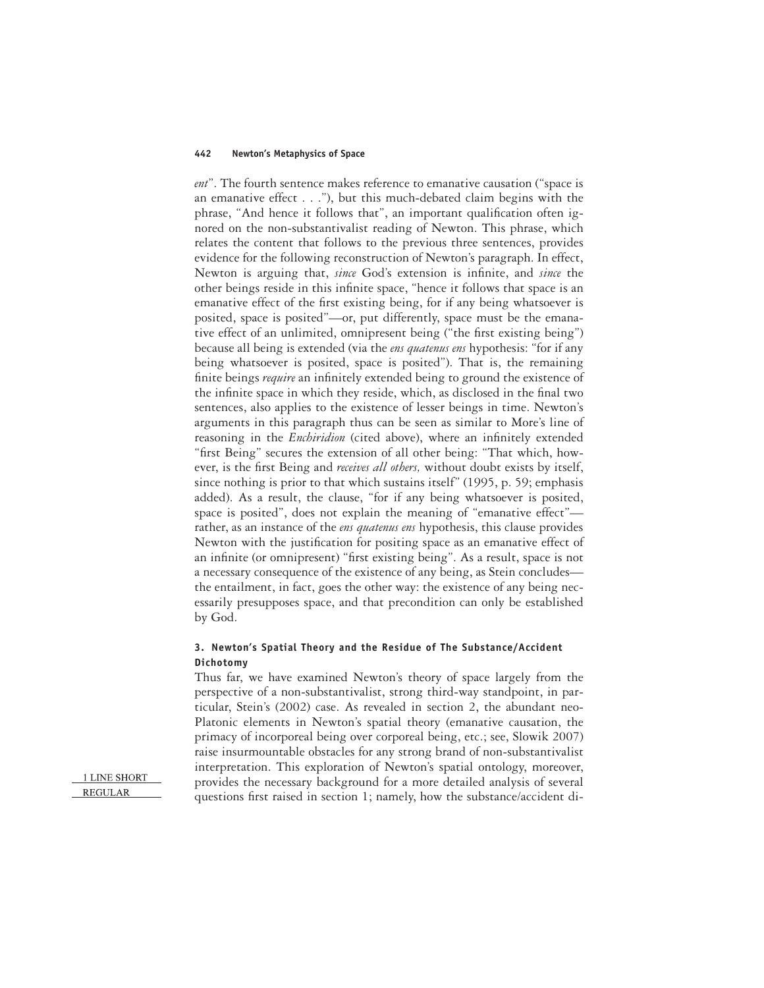*ent*". The fourth sentence makes reference to emanative causation ("space is an emanative effect . . ."), but this much-debated claim begins with the phrase, "And hence it follows that", an important qualification often ignored on the non-substantivalist reading of Newton. This phrase, which relates the content that follows to the previous three sentences, provides evidence for the following reconstruction of Newton's paragraph. In effect, Newton is arguing that, *since* God's extension is infinite, and *since* the other beings reside in this infinite space, "hence it follows that space is an emanative effect of the first existing being, for if any being whatsoever is posited, space is posited"—or, put differently, space must be the emanative effect of an unlimited, omnipresent being ("the first existing being") because all being is extended (via the *ens quatenus ens* hypothesis: "for if any being whatsoever is posited, space is posited"). That is, the remaining finite beings *require* an infinitely extended being to ground the existence of the infinite space in which they reside, which, as disclosed in the final two sentences, also applies to the existence of lesser beings in time. Newton's arguments in this paragraph thus can be seen as similar to More's line of reasoning in the *Enchiridion* (cited above), where an infinitely extended "first Being" secures the extension of all other being: "That which, however, is the first Being and *receives all others*, without doubt exists by itself, since nothing is prior to that which sustains itself" (1995, p. 59; emphasis added). As a result, the clause, "for if any being whatsoever is posited, space is posited", does not explain the meaning of "emanative effect" rather, as an instance of the *ens quatenus ens* hypothesis, this clause provides Newton with the justification for positing space as an emanative effect of an infinite (or omnipresent) "first existing being". As a result, space is not a necessary consequence of the existence of any being, as Stein concludes the entailment, in fact, goes the other way: the existence of any being necessarily presupposes space, and that precondition can only be established by God.

# **3. Newton's Spatial Theory and the Residue of The Substance/Accident Dichotomy**

Thus far, we have examined Newton's theory of space largely from the perspective of a non-substantivalist, strong third-way standpoint, in particular, Stein's (2002) case. As revealed in section 2, the abundant neo-Platonic elements in Newton's spatial theory (emanative causation, the primacy of incorporeal being over corporeal being, etc.; see, Slowik 2007) raise insurmountable obstacles for any strong brand of non-substantivalist interpretation. This exploration of Newton's spatial ontology, moreover, provides the necessary background for a more detailed analysis of several questions first raised in section 1; namely, how the substance/accident di-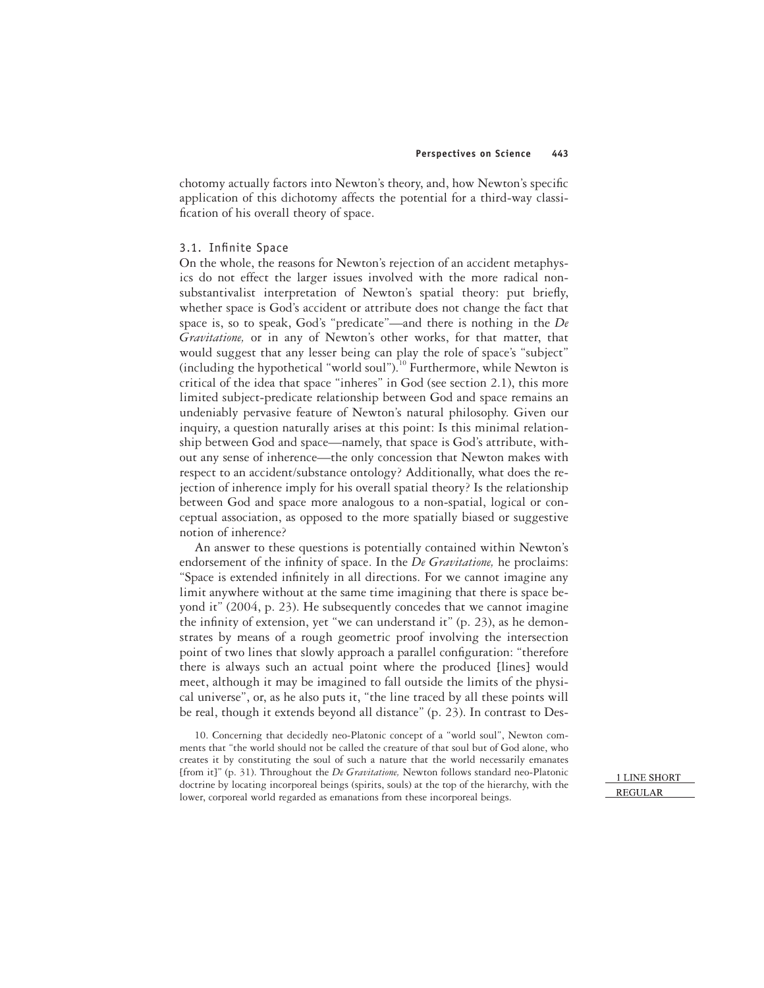chotomy actually factors into Newton's theory, and, how Newton's specific application of this dichotomy affects the potential for a third-way classification of his overall theory of space.

### 3.1. Infinite Space

On the whole, the reasons for Newton's rejection of an accident metaphysics do not effect the larger issues involved with the more radical nonsubstantivalist interpretation of Newton's spatial theory: put briefly, whether space is God's accident or attribute does not change the fact that space is, so to speak, God's "predicate"—and there is nothing in the *De Gravitatione,* or in any of Newton's other works, for that matter, that would suggest that any lesser being can play the role of space's "subject" (including the hypothetical "world soul").<sup>10</sup> Furthermore, while Newton is critical of the idea that space "inheres" in God (see section 2.1), this more limited subject-predicate relationship between God and space remains an undeniably pervasive feature of Newton's natural philosophy. Given our inquiry, a question naturally arises at this point: Is this minimal relationship between God and space—namely, that space is God's attribute, without any sense of inherence—the only concession that Newton makes with respect to an accident/substance ontology? Additionally, what does the rejection of inherence imply for his overall spatial theory? Is the relationship between God and space more analogous to a non-spatial, logical or conceptual association, as opposed to the more spatially biased or suggestive notion of inherence?

An answer to these questions is potentially contained within Newton's endorsement of the infinity of space. In the *De Gravitatione*, he proclaims: "Space is extended infinitely in all directions. For we cannot imagine any limit anywhere without at the same time imagining that there is space beyond it" (2004, p. 23). He subsequently concedes that we cannot imagine the infinity of extension, yet "we can understand it" (p. 23), as he demonstrates by means of a rough geometric proof involving the intersection point of two lines that slowly approach a parallel configuration: "therefore there is always such an actual point where the produced [lines] would meet, although it may be imagined to fall outside the limits of the physical universe", or, as he also puts it, "the line traced by all these points will be real, though it extends beyond all distance" (p. 23). In contrast to Des-

10. Concerning that decidedly neo-Platonic concept of a "world soul", Newton comments that "the world should not be called the creature of that soul but of God alone, who creates it by constituting the soul of such a nature that the world necessarily emanates [from it]" (p. 31). Throughout the *De Gravitatione,* Newton follows standard neo-Platonic doctrine by locating incorporeal beings (spirits, souls) at the top of the hierarchy, with the lower, corporeal world regarded as emanations from these incorporeal beings.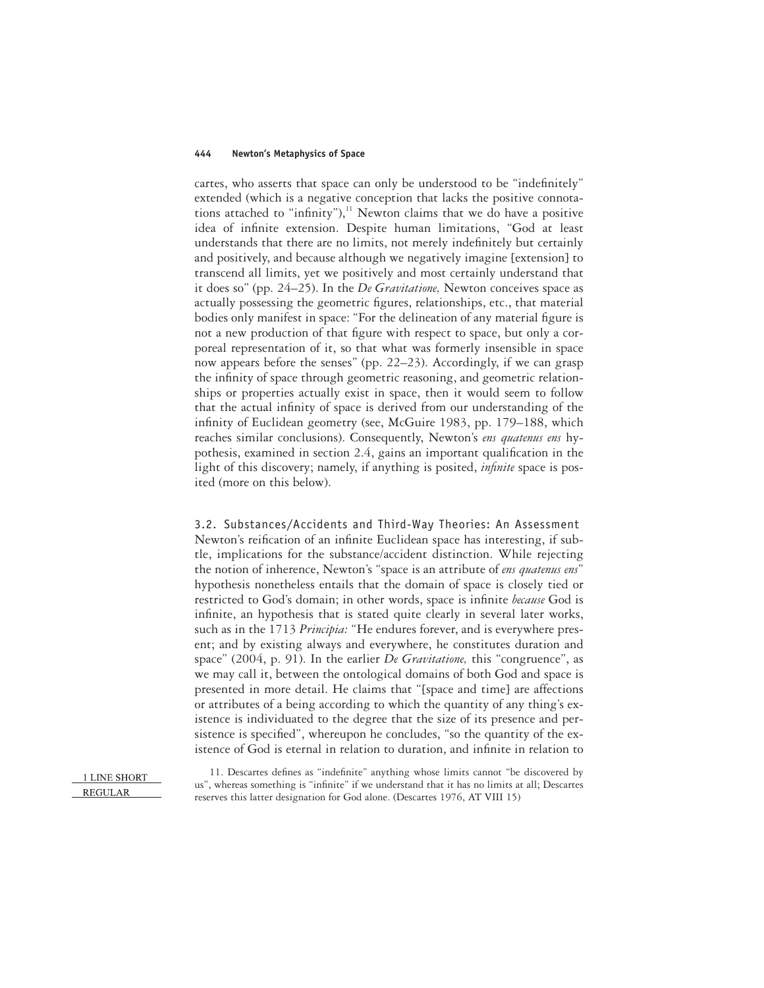cartes, who asserts that space can only be understood to be "indefinitely" extended (which is a negative conception that lacks the positive connotations attached to "infinity"), $^{11}$  Newton claims that we do have a positive idea of infinite extension. Despite human limitations, "God at least understands that there are no limits, not merely indefinitely but certainly and positively, and because although we negatively imagine [extension] to transcend all limits, yet we positively and most certainly understand that it does so" (pp. 24–25). In the *De Gravitatione,* Newton conceives space as actually possessing the geometric figures, relationships, etc., that material bodies only manifest in space: "For the delineation of any material figure is not a new production of that figure with respect to space, but only a corporeal representation of it, so that what was formerly insensible in space now appears before the senses" (pp. 22–23). Accordingly, if we can grasp the infinity of space through geometric reasoning, and geometric relationships or properties actually exist in space, then it would seem to follow that the actual infinity of space is derived from our understanding of the infinity of Euclidean geometry (see, McGuire 1983, pp. 179–188, which reaches similar conclusions). Consequently, Newton's *ens quatenus ens* hypothesis, examined in section 2.4, gains an important qualification in the light of this discovery; namely, if anything is posited, *infinite* space is posited (more on this below).

3.2. Substances/Accidents and Third-Way Theories: An Assessment Newton's reification of an infinite Euclidean space has interesting, if subtle, implications for the substance/accident distinction. While rejecting the notion of inherence, Newton's "space is an attribute of *ens quatenus ens*" hypothesis nonetheless entails that the domain of space is closely tied or restricted to God's domain; in other words, space is infinite *because* God is infinite, an hypothesis that is stated quite clearly in several later works, such as in the 1713 *Principia:* "He endures forever, and is everywhere present; and by existing always and everywhere, he constitutes duration and space" (2004, p. 91). In the earlier *De Gravitatione,* this "congruence", as we may call it, between the ontological domains of both God and space is presented in more detail. He claims that "[space and time] are affections or attributes of a being according to which the quantity of any thing's existence is individuated to the degree that the size of its presence and persistence is specified", whereupon he concludes, "so the quantity of the existence of God is eternal in relation to duration, and infinite in relation to

1 LINE SHORT **REGULAR** 

11. Descartes defines as "indefinite" anything whose limits cannot "be discovered by us", whereas something is "infinite" if we understand that it has no limits at all; Descartes reserves this latter designation for God alone. (Descartes 1976, AT VIII 15)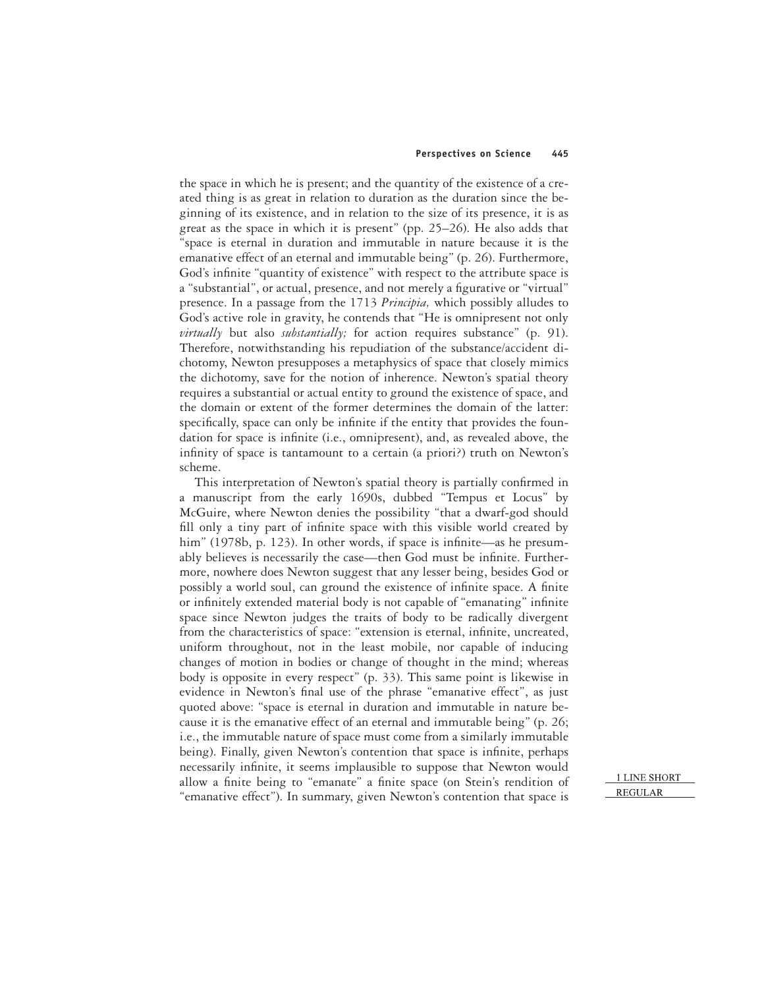the space in which he is present; and the quantity of the existence of a created thing is as great in relation to duration as the duration since the beginning of its existence, and in relation to the size of its presence, it is as great as the space in which it is present" (pp. 25–26). He also adds that "space is eternal in duration and immutable in nature because it is the emanative effect of an eternal and immutable being" (p. 26). Furthermore, God's infinite "quantity of existence" with respect to the attribute space is a "substantial", or actual, presence, and not merely a figurative or "virtual" presence. In a passage from the 1713 *Principia,* which possibly alludes to God's active role in gravity, he contends that "He is omnipresent not only *virtually* but also *substantially;* for action requires substance" (p. 91). Therefore, notwithstanding his repudiation of the substance/accident dichotomy, Newton presupposes a metaphysics of space that closely mimics the dichotomy, save for the notion of inherence. Newton's spatial theory requires a substantial or actual entity to ground the existence of space, and the domain or extent of the former determines the domain of the latter: specifically, space can only be infinite if the entity that provides the foundation for space is infinite (i.e., omnipresent), and, as revealed above, the infinity of space is tantamount to a certain (a priori?) truth on Newton's scheme.

This interpretation of Newton's spatial theory is partially confirmed in a manuscript from the early 1690s, dubbed "Tempus et Locus" by McGuire, where Newton denies the possibility "that a dwarf-god should fill only a tiny part of infinite space with this visible world created by him" (1978b, p. 123). In other words, if space is infinite—as he presumably believes is necessarily the case—then God must be infinite. Furthermore, nowhere does Newton suggest that any lesser being, besides God or possibly a world soul, can ground the existence of infinite space. A finite or infinitely extended material body is not capable of "emanating" infinite space since Newton judges the traits of body to be radically divergent from the characteristics of space: "extension is eternal, infinite, uncreated, uniform throughout, not in the least mobile, nor capable of inducing changes of motion in bodies or change of thought in the mind; whereas body is opposite in every respect" (p. 33). This same point is likewise in evidence in Newton's final use of the phrase "emanative effect", as just quoted above: "space is eternal in duration and immutable in nature because it is the emanative effect of an eternal and immutable being" (p. 26; i.e., the immutable nature of space must come from a similarly immutable being). Finally, given Newton's contention that space is infinite, perhaps necessarily infinite, it seems implausible to suppose that Newton would allow a finite being to "emanate" a finite space (on Stein's rendition of "emanative effect"). In summary, given Newton's contention that space is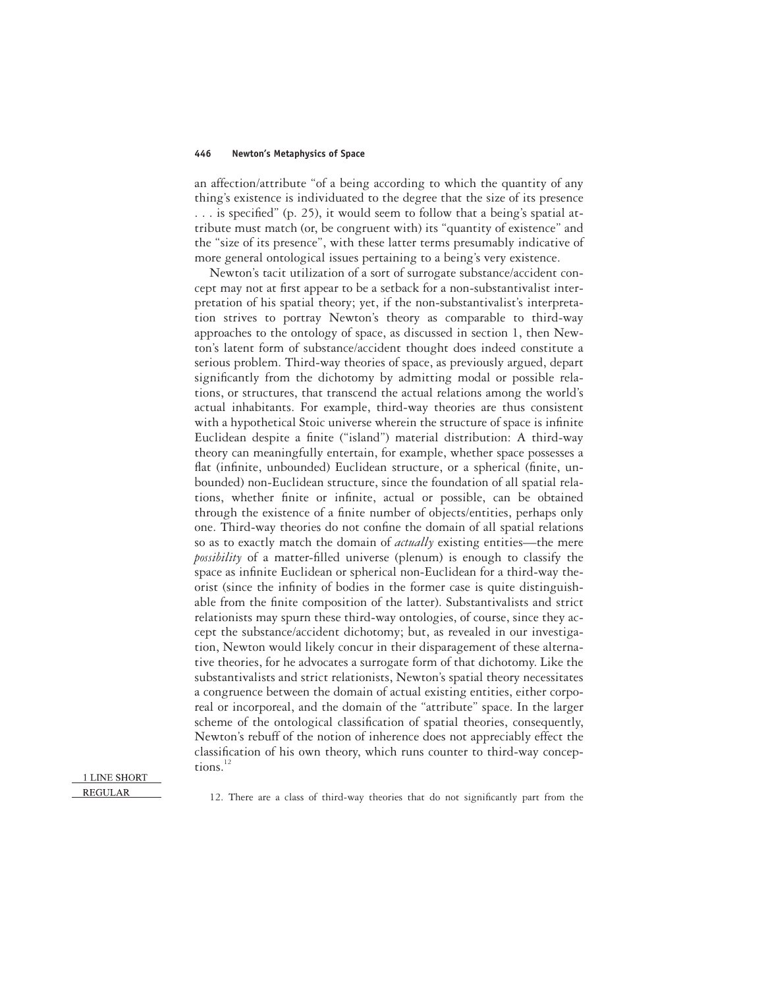an affection/attribute "of a being according to which the quantity of any thing's existence is individuated to the degree that the size of its presence  $\ldots$  is specified" (p. 25), it would seem to follow that a being's spatial attribute must match (or, be congruent with) its "quantity of existence" and the "size of its presence", with these latter terms presumably indicative of more general ontological issues pertaining to a being's very existence.

Newton's tacit utilization of a sort of surrogate substance/accident concept may not at first appear to be a setback for a non-substantivalist interpretation of his spatial theory; yet, if the non-substantivalist's interpretation strives to portray Newton's theory as comparable to third-way approaches to the ontology of space, as discussed in section 1, then Newton's latent form of substance/accident thought does indeed constitute a serious problem. Third-way theories of space, as previously argued, depart significantly from the dichotomy by admitting modal or possible relations, or structures, that transcend the actual relations among the world's actual inhabitants. For example, third-way theories are thus consistent with a hypothetical Stoic universe wherein the structure of space is infinite Euclidean despite a finite ("island") material distribution: A third-way theory can meaningfully entertain, for example, whether space possesses a flat (infinite, unbounded) Euclidean structure, or a spherical (finite, unbounded) non-Euclidean structure, since the foundation of all spatial relations, whether finite or infinite, actual or possible, can be obtained through the existence of a finite number of objects/entities, perhaps only one. Third-way theories do not confine the domain of all spatial relations so as to exactly match the domain of *actually* existing entities—the mere *possibility* of a matter-filled universe (plenum) is enough to classify the space as infinite Euclidean or spherical non-Euclidean for a third-way theorist (since the infinity of bodies in the former case is quite distinguishable from the finite composition of the latter). Substantivalists and strict relationists may spurn these third-way ontologies, of course, since they accept the substance/accident dichotomy; but, as revealed in our investigation, Newton would likely concur in their disparagement of these alternative theories, for he advocates a surrogate form of that dichotomy. Like the substantivalists and strict relationists, Newton's spatial theory necessitates a congruence between the domain of actual existing entities, either corporeal or incorporeal, and the domain of the "attribute" space. In the larger scheme of the ontological classification of spatial theories, consequently, Newton's rebuff of the notion of inherence does not appreciably effect the classification of his own theory, which runs counter to third-way conceptions. $^{12}$ 

### 1 LINE SHORT **REGULAR**

12. There are a class of third-way theories that do not significantly part from the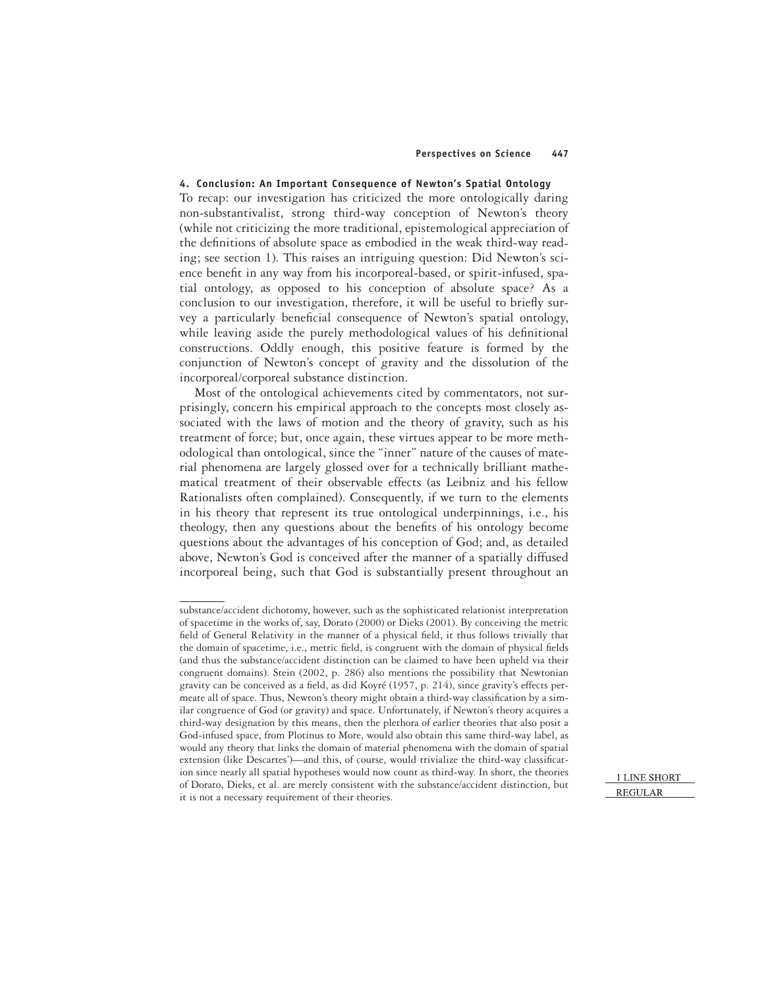### **4. Conclusion: An Important Consequence of Newton's Spatial Ontology**

To recap: our investigation has criticized the more ontologically daring non-substantivalist, strong third-way conception of Newton's theory (while not criticizing the more traditional, epistemological appreciation of the definitions of absolute space as embodied in the weak third-way reading; see section 1). This raises an intriguing question: Did Newton's science benefit in any way from his incorporeal-based, or spirit-infused, spatial ontology, as opposed to his conception of absolute space? As a conclusion to our investigation, therefore, it will be useful to briefly survey a particularly beneficial consequence of Newton's spatial ontology, while leaving aside the purely methodological values of his definitional constructions. Oddly enough, this positive feature is formed by the conjunction of Newton's concept of gravity and the dissolution of the incorporeal/corporeal substance distinction.

Most of the ontological achievements cited by commentators, not surprisingly, concern his empirical approach to the concepts most closely associated with the laws of motion and the theory of gravity, such as his treatment of force; but, once again, these virtues appear to be more methodological than ontological, since the "inner" nature of the causes of material phenomena are largely glossed over for a technically brilliant mathematical treatment of their observable effects (as Leibniz and his fellow Rationalists often complained). Consequently, if we turn to the elements in his theory that represent its true ontological underpinnings, i.e., his theology, then any questions about the benefits of his ontology become questions about the advantages of his conception of God; and, as detailed above, Newton's God is conceived after the manner of a spatially diffused incorporeal being, such that God is substantially present throughout an

substance/accident dichotomy, however, such as the sophisticated relationist interpretation of spacetime in the works of, say, Dorato (2000) or Dieks (2001). By conceiving the metric field of General Relativity in the manner of a physical field, it thus follows trivially that the domain of spacetime, i.e., metric field, is congruent with the domain of physical fields (and thus the substance/accident distinction can be claimed to have been upheld via their congruent domains). Stein (2002, p. 286) also mentions the possibility that Newtonian gravity can be conceived as a field, as did Koyré (1957, p. 214), since gravity's effects permeate all of space. Thus, Newton's theory might obtain a third-way classification by a similar congruence of God (or gravity) and space. Unfortunately, if Newton's theory acquires a third-way designation by this means, then the plethora of earlier theories that also posit a God-infused space, from Plotinus to More, would also obtain this same third-way label, as would any theory that links the domain of material phenomena with the domain of spatial extension (like Descartes')—and this, of course, would trivialize the third-way classification since nearly all spatial hypotheses would now count as third-way. In short, the theories of Dorato, Dieks, et al. are merely consistent with the substance/accident distinction, but it is not a necessary requirement of their theories.

**<sup>1</sup> LINE SHORT REGULAR**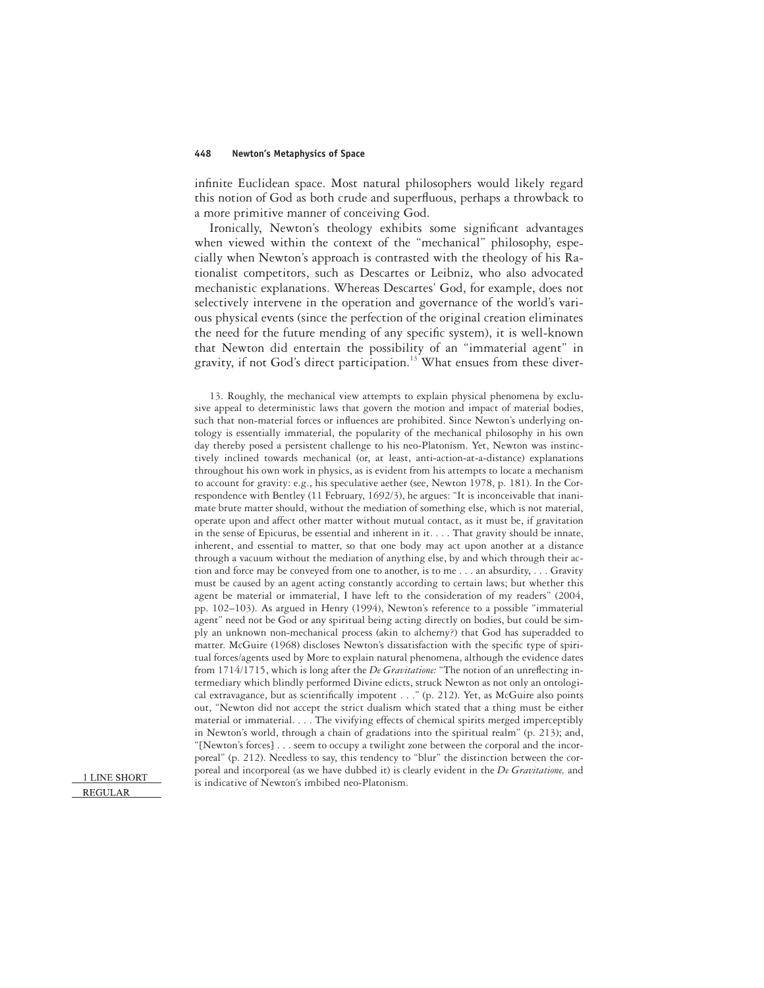infinite Euclidean space. Most natural philosophers would likely regard this notion of God as both crude and superfluous, perhaps a throwback to a more primitive manner of conceiving God.

Ironically, Newton's theology exhibits some significant advantages when viewed within the context of the "mechanical" philosophy, especially when Newton's approach is contrasted with the theology of his Rationalist competitors, such as Descartes or Leibniz, who also advocated mechanistic explanations. Whereas Descartes' God, for example, does not selectively intervene in the operation and governance of the world's various physical events (since the perfection of the original creation eliminates the need for the future mending of any specific system), it is well-known that Newton did entertain the possibility of an "immaterial agent" in gravity, if not God's direct participation.<sup>13</sup> What ensues from these diver-

13. Roughly, the mechanical view attempts to explain physical phenomena by exclusive appeal to deterministic laws that govern the motion and impact of material bodies, such that non-material forces or influences are prohibited. Since Newton's underlying ontology is essentially immaterial, the popularity of the mechanical philosophy in his own day thereby posed a persistent challenge to his neo-Platonism. Yet, Newton was instinctively inclined towards mechanical (or, at least, anti-action-at-a-distance) explanations throughout his own work in physics, as is evident from his attempts to locate a mechanism to account for gravity: e.g., his speculative aether (see, Newton 1978, p. 181). In the Correspondence with Bentley (11 February, 1692/3), he argues: "It is inconceivable that inanimate brute matter should, without the mediation of something else, which is not material, operate upon and affect other matter without mutual contact, as it must be, if gravitation in the sense of Epicurus, be essential and inherent in it. . . . That gravity should be innate, inherent, and essential to matter, so that one body may act upon another at a distance through a vacuum without the mediation of anything else, by and which through their action and force may be conveyed from one to another, is to me . . . an absurdity,... Gravity must be caused by an agent acting constantly according to certain laws; but whether this agent be material or immaterial, I have left to the consideration of my readers" (2004, pp. 102–103). As argued in Henry (1994), Newton's reference to a possible "immaterial agent" need not be God or any spiritual being acting directly on bodies, but could be simply an unknown non-mechanical process (akin to alchemy?) that God has superadded to matter. McGuire (1968) discloses Newton's dissatisfaction with the specific type of spiritual forces/agents used by More to explain natural phenomena, although the evidence dates from 1714/1715, which is long after the *De Gravitatione:* "The notion of an unreflecting intermediary which blindly performed Divine edicts, struck Newton as not only an ontological extravagance, but as scientifically impotent . . ." (p. 212). Yet, as McGuire also points out, "Newton did not accept the strict dualism which stated that a thing must be either material or immaterial. . . . The vivifying effects of chemical spirits merged imperceptibly in Newton's world, through a chain of gradations into the spiritual realm" (p. 213); and, "[Newton's forces] . . . seem to occupy a twilight zone between the corporal and the incorporeal" (p. 212). Needless to say, this tendency to "blur" the distinction between the corporeal and incorporeal (as we have dubbed it) is clearly evident in the *De Gravitatione,* and is indicative of Newton's imbibed neo-Platonism.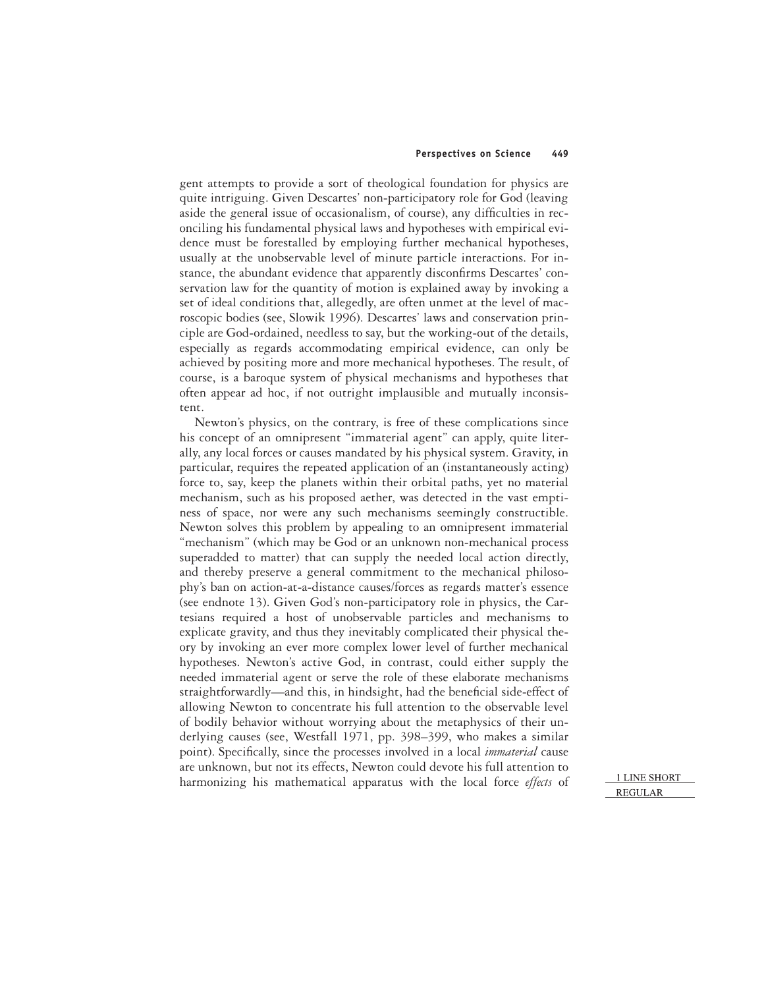gent attempts to provide a sort of theological foundation for physics are quite intriguing. Given Descartes' non-participatory role for God (leaving aside the general issue of occasionalism, of course), any difficulties in reconciling his fundamental physical laws and hypotheses with empirical evidence must be forestalled by employing further mechanical hypotheses, usually at the unobservable level of minute particle interactions. For instance, the abundant evidence that apparently disconfirms Descartes' conservation law for the quantity of motion is explained away by invoking a set of ideal conditions that, allegedly, are often unmet at the level of macroscopic bodies (see, Slowik 1996). Descartes' laws and conservation principle are God-ordained, needless to say, but the working-out of the details, especially as regards accommodating empirical evidence, can only be achieved by positing more and more mechanical hypotheses. The result, of course, is a baroque system of physical mechanisms and hypotheses that often appear ad hoc, if not outright implausible and mutually inconsistent.

Newton's physics, on the contrary, is free of these complications since his concept of an omnipresent "immaterial agent" can apply, quite literally, any local forces or causes mandated by his physical system. Gravity, in particular, requires the repeated application of an (instantaneously acting) force to, say, keep the planets within their orbital paths, yet no material mechanism, such as his proposed aether, was detected in the vast emptiness of space, nor were any such mechanisms seemingly constructible. Newton solves this problem by appealing to an omnipresent immaterial "mechanism" (which may be God or an unknown non-mechanical process superadded to matter) that can supply the needed local action directly, and thereby preserve a general commitment to the mechanical philosophy's ban on action-at-a-distance causes/forces as regards matter's essence (see endnote 13). Given God's non-participatory role in physics, the Cartesians required a host of unobservable particles and mechanisms to explicate gravity, and thus they inevitably complicated their physical theory by invoking an ever more complex lower level of further mechanical hypotheses. Newton's active God, in contrast, could either supply the needed immaterial agent or serve the role of these elaborate mechanisms straightforwardly—and this, in hindsight, had the beneficial side-effect of allowing Newton to concentrate his full attention to the observable level of bodily behavior without worrying about the metaphysics of their underlying causes (see, Westfall 1971, pp. 398–399, who makes a similar point). Specifically, since the processes involved in a local *immaterial* cause are unknown, but not its effects, Newton could devote his full attention to harmonizing his mathematical apparatus with the local force *effects* of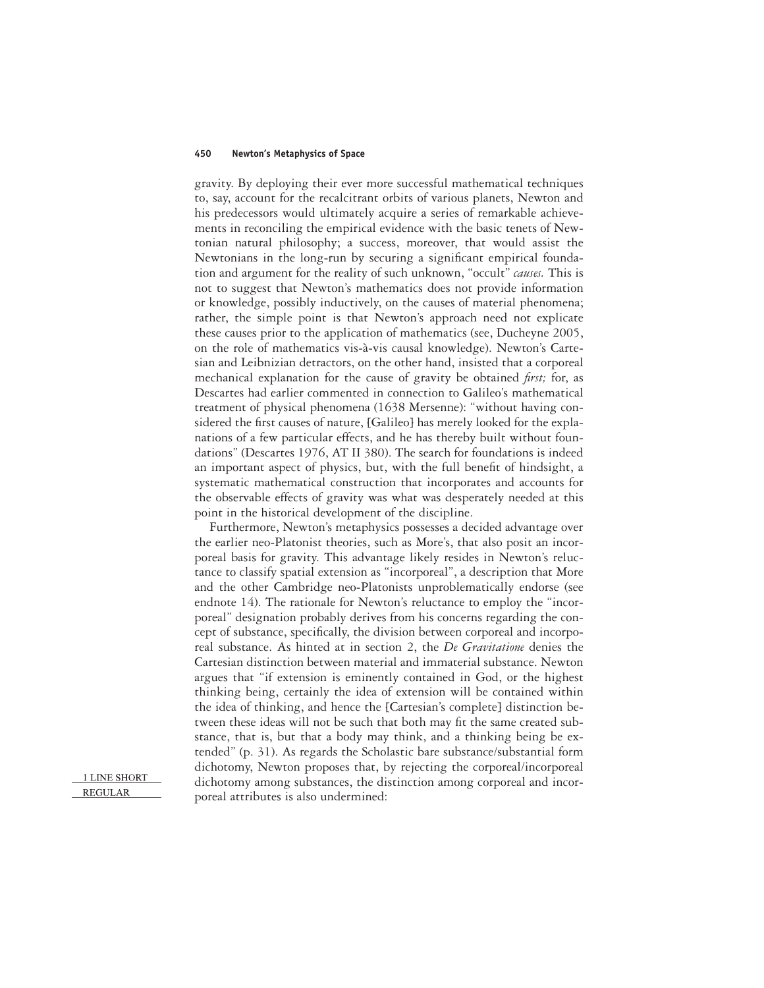gravity. By deploying their ever more successful mathematical techniques to, say, account for the recalcitrant orbits of various planets, Newton and his predecessors would ultimately acquire a series of remarkable achievements in reconciling the empirical evidence with the basic tenets of Newtonian natural philosophy; a success, moreover, that would assist the Newtonians in the long-run by securing a significant empirical foundation and argument for the reality of such unknown, "occult" *causes.* This is not to suggest that Newton's mathematics does not provide information or knowledge, possibly inductively, on the causes of material phenomena; rather, the simple point is that Newton's approach need not explicate these causes prior to the application of mathematics (see, Ducheyne 2005, on the role of mathematics vis-à-vis causal knowledge). Newton's Cartesian and Leibnizian detractors, on the other hand, insisted that a corporeal mechanical explanation for the cause of gravity be obtained *first*; for, as Descartes had earlier commented in connection to Galileo's mathematical treatment of physical phenomena (1638 Mersenne): "without having considered the first causes of nature, [Galileo] has merely looked for the explanations of a few particular effects, and he has thereby built without foundations" (Descartes 1976, AT II 380). The search for foundations is indeed an important aspect of physics, but, with the full benefit of hindsight, a systematic mathematical construction that incorporates and accounts for the observable effects of gravity was what was desperately needed at this point in the historical development of the discipline.

Furthermore, Newton's metaphysics possesses a decided advantage over the earlier neo-Platonist theories, such as More's, that also posit an incorporeal basis for gravity. This advantage likely resides in Newton's reluctance to classify spatial extension as "incorporeal", a description that More and the other Cambridge neo-Platonists unproblematically endorse (see endnote 14). The rationale for Newton's reluctance to employ the "incorporeal" designation probably derives from his concerns regarding the concept of substance, specifically, the division between corporeal and incorporeal substance. As hinted at in section 2, the *De Gravitatione* denies the Cartesian distinction between material and immaterial substance. Newton argues that "if extension is eminently contained in God, or the highest thinking being, certainly the idea of extension will be contained within the idea of thinking, and hence the [Cartesian's complete] distinction between these ideas will not be such that both may fit the same created substance, that is, but that a body may think, and a thinking being be extended" (p. 31). As regards the Scholastic bare substance/substantial form dichotomy, Newton proposes that, by rejecting the corporeal/incorporeal dichotomy among substances, the distinction among corporeal and incorporeal attributes is also undermined: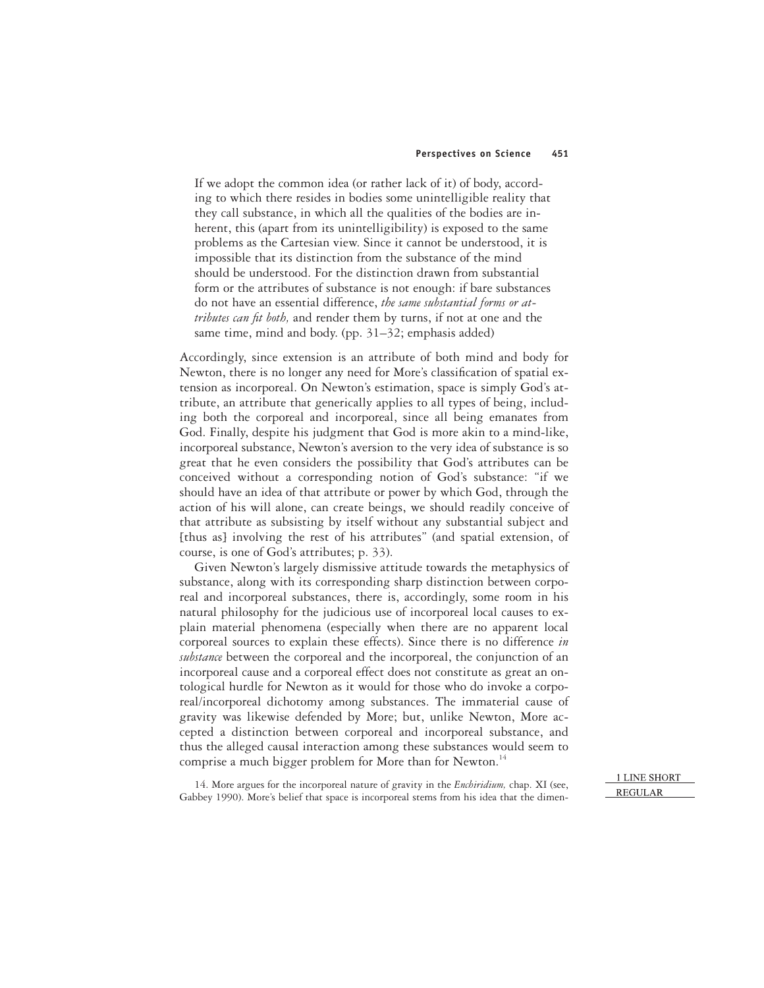If we adopt the common idea (or rather lack of it) of body, according to which there resides in bodies some unintelligible reality that they call substance, in which all the qualities of the bodies are inherent, this (apart from its unintelligibility) is exposed to the same problems as the Cartesian view. Since it cannot be understood, it is impossible that its distinction from the substance of the mind should be understood. For the distinction drawn from substantial form or the attributes of substance is not enough: if bare substances do not have an essential difference, *the same substantial forms or attributes can fit both*, and render them by turns, if not at one and the same time, mind and body. (pp. 31–32; emphasis added)

Accordingly, since extension is an attribute of both mind and body for Newton, there is no longer any need for More's classification of spatial extension as incorporeal. On Newton's estimation, space is simply God's attribute, an attribute that generically applies to all types of being, including both the corporeal and incorporeal, since all being emanates from God. Finally, despite his judgment that God is more akin to a mind-like, incorporeal substance, Newton's aversion to the very idea of substance is so great that he even considers the possibility that God's attributes can be conceived without a corresponding notion of God's substance: "if we should have an idea of that attribute or power by which God, through the action of his will alone, can create beings, we should readily conceive of that attribute as subsisting by itself without any substantial subject and [thus as] involving the rest of his attributes" (and spatial extension, of course, is one of God's attributes; p. 33).

Given Newton's largely dismissive attitude towards the metaphysics of substance, along with its corresponding sharp distinction between corporeal and incorporeal substances, there is, accordingly, some room in his natural philosophy for the judicious use of incorporeal local causes to explain material phenomena (especially when there are no apparent local corporeal sources to explain these effects). Since there is no difference *in substance* between the corporeal and the incorporeal, the conjunction of an incorporeal cause and a corporeal effect does not constitute as great an ontological hurdle for Newton as it would for those who do invoke a corporeal/incorporeal dichotomy among substances. The immaterial cause of gravity was likewise defended by More; but, unlike Newton, More accepted a distinction between corporeal and incorporeal substance, and thus the alleged causal interaction among these substances would seem to comprise a much bigger problem for More than for Newton.<sup>14</sup>

14. More argues for the incorporeal nature of gravity in the *Enchiridium,* chap. XI (see, Gabbey 1990). More's belief that space is incorporeal stems from his idea that the dimen-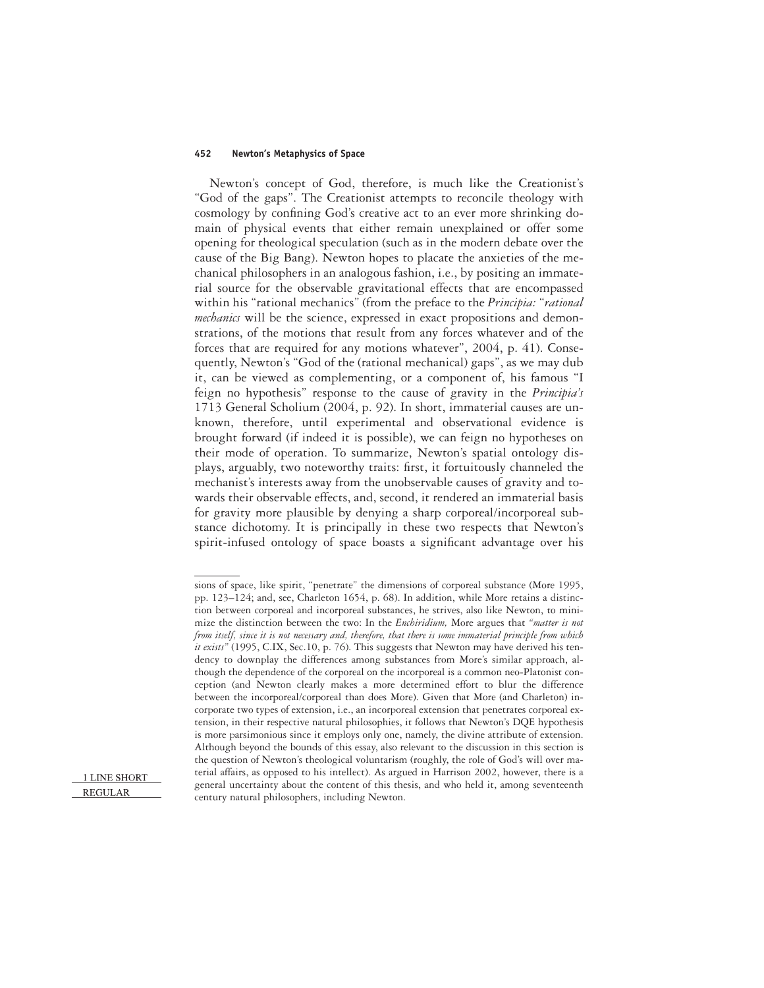Newton's concept of God, therefore, is much like the Creationist's "God of the gaps". The Creationist attempts to reconcile theology with cosmology by confining God's creative act to an ever more shrinking domain of physical events that either remain unexplained or offer some opening for theological speculation (such as in the modern debate over the cause of the Big Bang). Newton hopes to placate the anxieties of the mechanical philosophers in an analogous fashion, i.e., by positing an immaterial source for the observable gravitational effects that are encompassed within his "rational mechanics" (from the preface to the *Principia:* "*rational mechanics* will be the science, expressed in exact propositions and demonstrations, of the motions that result from any forces whatever and of the forces that are required for any motions whatever", 2004, p. 41). Consequently, Newton's "God of the (rational mechanical) gaps", as we may dub it, can be viewed as complementing, or a component of, his famous "I feign no hypothesis" response to the cause of gravity in the *Principia's* 1713 General Scholium (2004, p. 92). In short, immaterial causes are unknown, therefore, until experimental and observational evidence is brought forward (if indeed it is possible), we can feign no hypotheses on their mode of operation. To summarize, Newton's spatial ontology displays, arguably, two noteworthy traits: first, it fortuitously channeled the mechanist's interests away from the unobservable causes of gravity and towards their observable effects, and, second, it rendered an immaterial basis for gravity more plausible by denying a sharp corporeal/incorporeal substance dichotomy. It is principally in these two respects that Newton's spirit-infused ontology of space boasts a significant advantage over his

sions of space, like spirit, "penetrate" the dimensions of corporeal substance (More 1995, pp. 123–124; and, see, Charleton 1654, p. 68). In addition, while More retains a distinction between corporeal and incorporeal substances, he strives, also like Newton, to minimize the distinction between the two: In the *Enchiridium,* More argues that *"matter is not from itself, since it is not necessary and, therefore, that there is some immaterial principle from which it exists"* (1995, C.IX, Sec.10, p. 76). This suggests that Newton may have derived his tendency to downplay the differences among substances from More's similar approach, although the dependence of the corporeal on the incorporeal is a common neo-Platonist conception (and Newton clearly makes a more determined effort to blur the difference between the incorporeal/corporeal than does More). Given that More (and Charleton) incorporate two types of extension, i.e., an incorporeal extension that penetrates corporeal extension, in their respective natural philosophies, it follows that Newton's DQE hypothesis is more parsimonious since it employs only one, namely, the divine attribute of extension. Although beyond the bounds of this essay, also relevant to the discussion in this section is the question of Newton's theological voluntarism (roughly, the role of God's will over material affairs, as opposed to his intellect). As argued in Harrison 2002, however, there is a general uncertainty about the content of this thesis, and who held it, among seventeenth century natural philosophers, including Newton.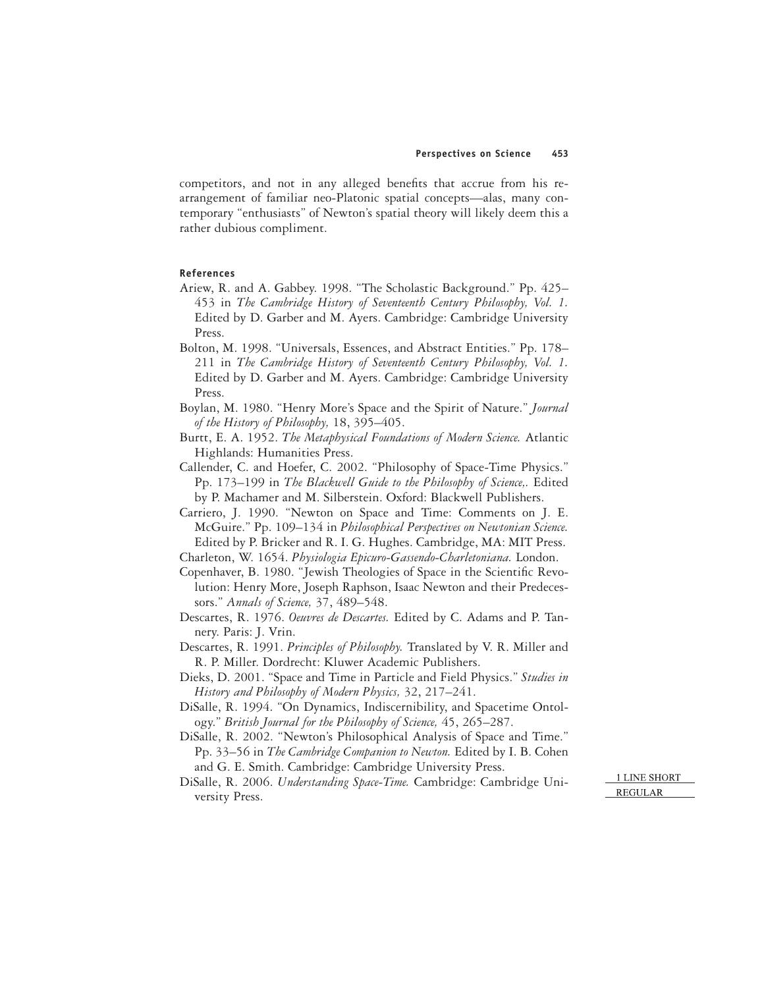competitors, and not in any alleged benefits that accrue from his rearrangement of familiar neo-Platonic spatial concepts—alas, many contemporary "enthusiasts" of Newton's spatial theory will likely deem this a rather dubious compliment.

### **References**

- Ariew, R. and A. Gabbey. 1998. "The Scholastic Background." Pp. 425– 453 in *The Cambridge History of Seventeenth Century Philosophy, Vol. 1.* Edited by D. Garber and M. Ayers. Cambridge: Cambridge University Press.
- Bolton, M. 1998. "Universals, Essences, and Abstract Entities." Pp. 178– 211 in *The Cambridge History of Seventeenth Century Philosophy, Vol. 1.* Edited by D. Garber and M. Ayers. Cambridge: Cambridge University Press.
- Boylan, M. 1980. "Henry More's Space and the Spirit of Nature." *Journal of the History of Philosophy,* 18, 395–405.
- Burtt, E. A. 1952. *The Metaphysical Foundations of Modern Science.* Atlantic Highlands: Humanities Press.
- Callender, C. and Hoefer, C. 2002. "Philosophy of Space-Time Physics." Pp. 173–199 in *The Blackwell Guide to the Philosophy of Science,.* Edited by P. Machamer and M. Silberstein. Oxford: Blackwell Publishers.
- Carriero, J. 1990. "Newton on Space and Time: Comments on J. E. McGuire." Pp. 109–134 in *Philosophical Perspectives on Newtonian Science.* Edited by P. Bricker and R. I. G. Hughes. Cambridge, MA: MIT Press.
- Charleton, W. 1654. *Physiologia Epicuro-Gassendo-Charletoniana.* London.
- Copenhaver, B. 1980. "Jewish Theologies of Space in the Scientific Revolution: Henry More, Joseph Raphson, Isaac Newton and their Predecessors." *Annals of Science,* 37, 489–548.
- Descartes, R. 1976. *Oeuvres de Descartes.* Edited by C. Adams and P. Tannery. Paris: J. Vrin.
- Descartes, R. 1991. *Principles of Philosophy.* Translated by V. R. Miller and R. P. Miller. Dordrecht: Kluwer Academic Publishers.
- Dieks, D. 2001. "Space and Time in Particle and Field Physics." *Studies in History and Philosophy of Modern Physics,* 32, 217–241.
- DiSalle, R. 1994. "On Dynamics, Indiscernibility, and Spacetime Ontology." *British Journal for the Philosophy of Science,* 45, 265–287.
- DiSalle, R. 2002. "Newton's Philosophical Analysis of Space and Time." Pp. 33–56 in *The Cambridge Companion to Newton.* Edited by I. B. Cohen and G. E. Smith. Cambridge: Cambridge University Press.
- DiSalle, R. 2006. *Understanding Space-Time.* Cambridge: Cambridge University Press.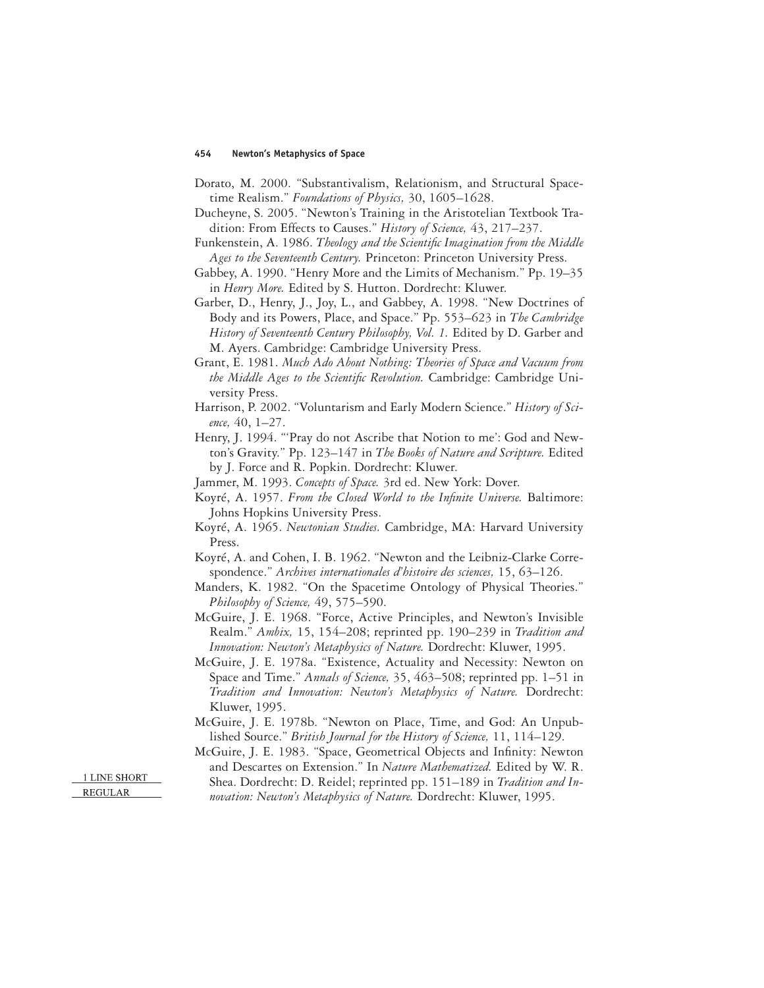- Dorato, M. 2000. "Substantivalism, Relationism, and Structural Spacetime Realism." *Foundations of Physics,* 30, 1605–1628.
- Ducheyne, S. 2005. "Newton's Training in the Aristotelian Textbook Tradition: From Effects to Causes." *History of Science,* 43, 217–237.
- Funkenstein, A. 1986. *Theology and the Scientific Imagination from the Middle Ages to the Seventeenth Century.* Princeton: Princeton University Press.
- Gabbey, A. 1990. "Henry More and the Limits of Mechanism." Pp. 19–35 in *Henry More.* Edited by S. Hutton. Dordrecht: Kluwer.
- Garber, D., Henry, J., Joy, L., and Gabbey, A. 1998. "New Doctrines of Body and its Powers, Place, and Space." Pp. 553–623 in *The Cambridge History of Seventeenth Century Philosophy, Vol. 1.* Edited by D. Garber and M. Ayers. Cambridge: Cambridge University Press.
- Grant, E. 1981. *Much Ado About Nothing: Theories of Space and Vacuum from the Middle Ages to the Scientific Revolution.* Cambridge: Cambridge University Press.
- Harrison, P. 2002. "Voluntarism and Early Modern Science." *History of Science,* 40, 1–27.
- Henry, J. 1994. "'Pray do not Ascribe that Notion to me': God and Newton's Gravity." Pp. 123–147 in *The Books of Nature and Scripture.* Edited by J. Force and R. Popkin. Dordrecht: Kluwer.
- Jammer, M. 1993. *Concepts of Space.* 3rd ed. New York: Dover.
- Koyré, A. 1957. *From the Closed World to the Infinite Universe*. Baltimore: Johns Hopkins University Press.
- Koyré, A. 1965. *Newtonian Studies.* Cambridge, MA: Harvard University Press.
- Koyré, A. and Cohen, I. B. 1962. "Newton and the Leibniz-Clarke Correspondence." *Archives internationales d'histoire des sciences,* 15, 63–126.
- Manders, K. 1982. "On the Spacetime Ontology of Physical Theories." *Philosophy of Science,* 49, 575–590.
- McGuire, J. E. 1968. "Force, Active Principles, and Newton's Invisible Realm." *Ambix,* 15, 154–208; reprinted pp. 190–239 in *Tradition and Innovation: Newton's Metaphysics of Nature.* Dordrecht: Kluwer, 1995.
- McGuire, J. E. 1978a. "Existence, Actuality and Necessity: Newton on Space and Time." *Annals of Science,* 35, 463–508; reprinted pp. 1–51 in *Tradition and Innovation: Newton's Metaphysics of Nature.* Dordrecht: Kluwer, 1995.
- McGuire, J. E. 1978b. "Newton on Place, Time, and God: An Unpublished Source." *British Journal for the History of Science,* 11, 114–129.
- McGuire, J. E. 1983. "Space, Geometrical Objects and Infinity: Newton and Descartes on Extension." In *Nature Mathematized.* Edited by W. R. Shea. Dordrecht: D. Reidel; reprinted pp. 151–189 in *Tradition and In-*
- *novation: Newton's Metaphysics of Nature.* Dordrecht: Kluwer, 1995.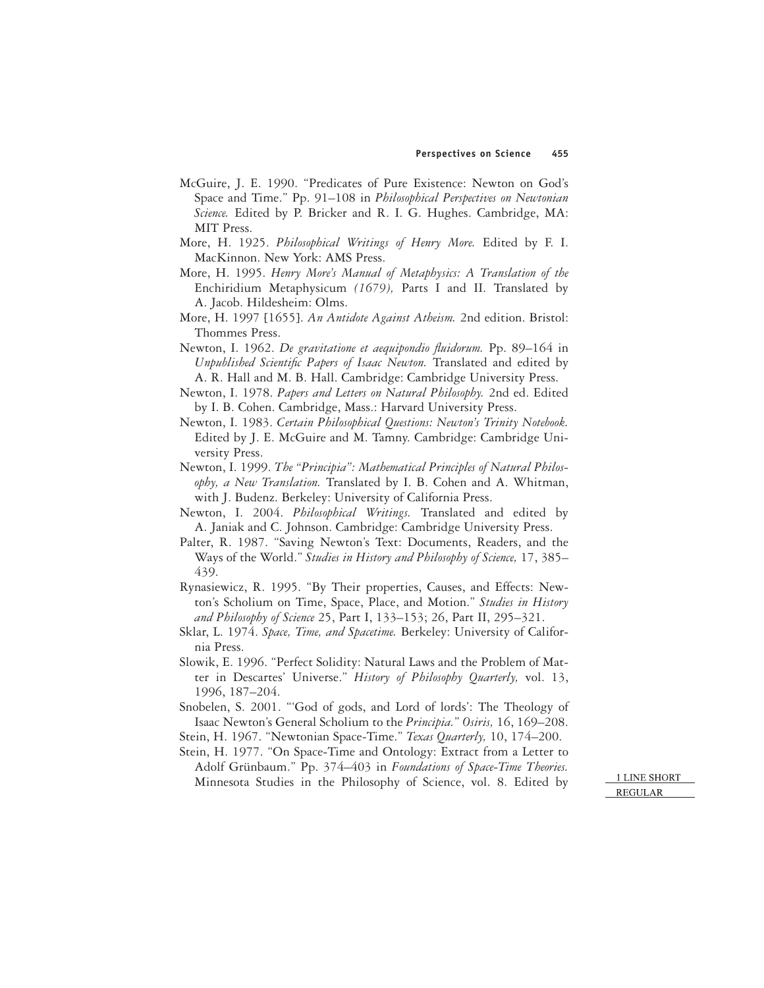- McGuire, J. E. 1990. "Predicates of Pure Existence: Newton on God's Space and Time." Pp. 91–108 in *Philosophical Perspectives on Newtonian Science.* Edited by P. Bricker and R. I. G. Hughes. Cambridge, MA: MIT Press.
- More, H. 1925. *Philosophical Writings of Henry More.* Edited by F. I. MacKinnon. New York: AMS Press.
- More, H. 1995. *Henry More's Manual of Metaphysics: A Translation of the* Enchiridium Metaphysicum *(1679),* Parts I and II. Translated by A. Jacob. Hildesheim: Olms.
- More, H. 1997 [1655]. *An Antidote Against Atheism.* 2nd edition. Bristol: Thommes Press.
- Newton, I. 1962. *De gravitatione et aequipondio fluidorum*. Pp. 89–164 in *Unpublished Scientific Papers of Isaac Newton.* Translated and edited by A. R. Hall and M. B. Hall. Cambridge: Cambridge University Press.
- Newton, I. 1978. *Papers and Letters on Natural Philosophy.* 2nd ed. Edited by I. B. Cohen. Cambridge, Mass.: Harvard University Press.
- Newton, I. 1983. *Certain Philosophical Questions: Newton's Trinity Notebook.* Edited by J. E. McGuire and M. Tamny. Cambridge: Cambridge University Press.
- Newton, I. 1999. *The "Principia": Mathematical Principles of Natural Philosophy, a New Translation.* Translated by I. B. Cohen and A. Whitman, with J. Budenz. Berkeley: University of California Press.
- Newton, I. 2004. *Philosophical Writings.* Translated and edited by A. Janiak and C. Johnson. Cambridge: Cambridge University Press.
- Palter, R. 1987. "Saving Newton's Text: Documents, Readers, and the Ways of the World." *Studies in History and Philosophy of Science,* 17, 385– 439.
- Rynasiewicz, R. 1995. "By Their properties, Causes, and Effects: Newton's Scholium on Time, Space, Place, and Motion." *Studies in History and Philosophy of Science* 25, Part I, 133–153; 26, Part II, 295–321.
- Sklar, L. 1974. *Space, Time, and Spacetime.* Berkeley: University of California Press.
- Slowik, E. 1996. "Perfect Solidity: Natural Laws and the Problem of Matter in Descartes' Universe." *History of Philosophy Quarterly,* vol. 13, 1996, 187–204.
- Snobelen, S. 2001. "'God of gods, and Lord of lords': The Theology of Isaac Newton's General Scholium to the *Principia.*" *Osiris,* 16, 169–208.
- Stein, H. 1967. "Newtonian Space-Time." *Texas Quarterly,* 10, 174–200.
- Stein, H. 1977. "On Space-Time and Ontology: Extract from a Letter to Adolf Grünbaum." Pp. 374–403 in *Foundations of Space-Time Theories.* Minnesota Studies in the Philosophy of Science, vol. 8. Edited by